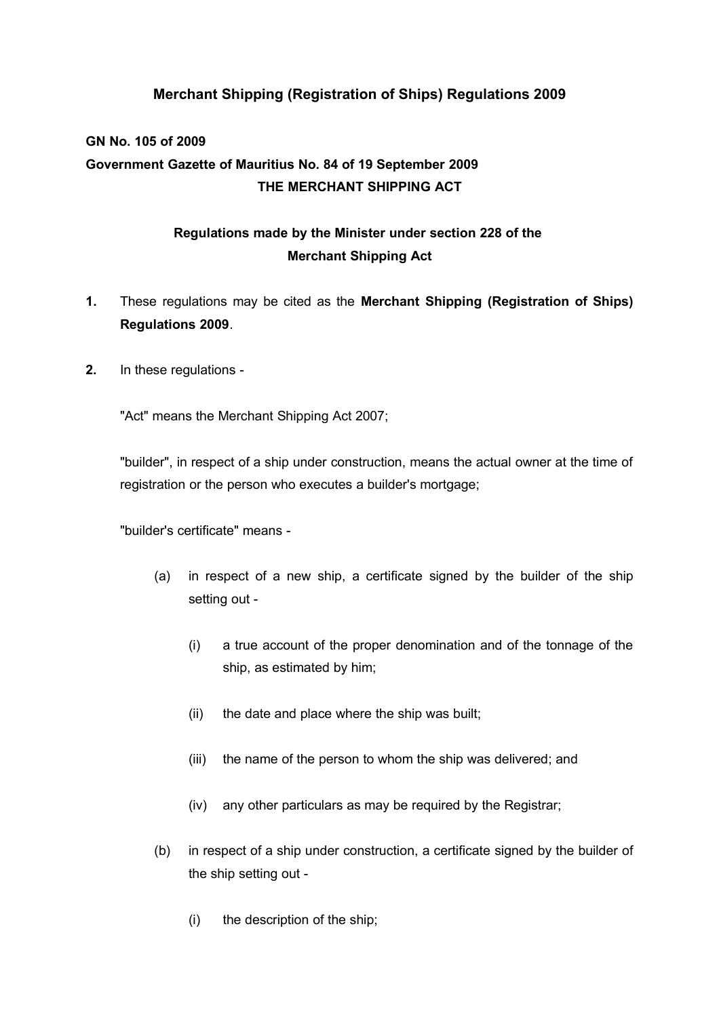# **Merchant Shipping (Registration of Ships) Regulations 2009**

# **GN No. 105 of 2009 Government Gazette of Mauritius No. 84 of 19 September 2009 THE MERCHANT SHIPPING ACT**

# **Regulations made by the Minister under section 228 of the Merchant Shipping Act**

- **1.** These regulations may be cited as the **Merchant Shipping (Registration of Ships) Regulations 2009**.
- **2.** In these regulations -

"Act" means the Merchant Shipping Act 2007;

"builder", in respect of a ship under construction, means the actual owner at the time of registration or the person who executes a builder's mortgage;

"builder's certificate" means -

- (a) in respect of a new ship, a certificate signed by the builder of the ship setting out -
	- (i) a true account of the proper denomination and of the tonnage of the ship, as estimated by him;
	- (ii) the date and place where the ship was built;
	- (iii) the name of the person to whom the ship was delivered; and
	- (iv) any other particulars as may be required by the Registrar;
- (b) in respect of a ship under construction, a certificate signed by the builder of the ship setting out -
	- (i) the description of the ship;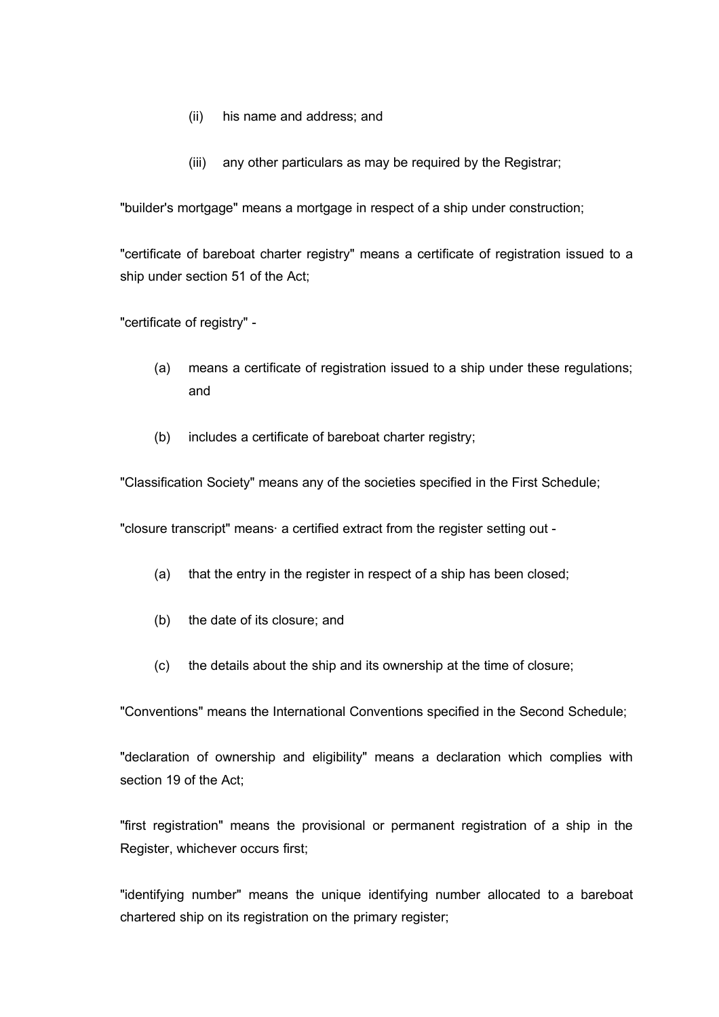- (ii) his name and address; and
- (iii) any other particulars as may be required by the Registrar;

"builder's mortgage" means a mortgage in respect of a ship under construction;

"certificate of bareboat charter registry" means a certificate of registration issued to a ship under section 51 of the Act;

"certificate of registry" -

- (a) means a certificate of registration issued to a ship under these regulations; and
- (b) includes a certificate of bareboat charter registry;

"Classification Society" means any of the societies specified in the First Schedule;

"closure transcript" means· a certified extract from the register setting out -

- (a) that the entry in the register in respect of a ship has been closed;
- (b) the date of its closure; and
- (c) the details about the ship and its ownership at the time of closure;

"Conventions" means the International Conventions specified in the Second Schedule;

"declaration of ownership and eligibility" means a declaration which complies with section 19 of the Act;

"first registration" means the provisional or permanent registration of a ship in the Register, whichever occurs first;

"identifying number" means the unique identifying number allocated to a bareboat chartered ship on its registration on the primary register;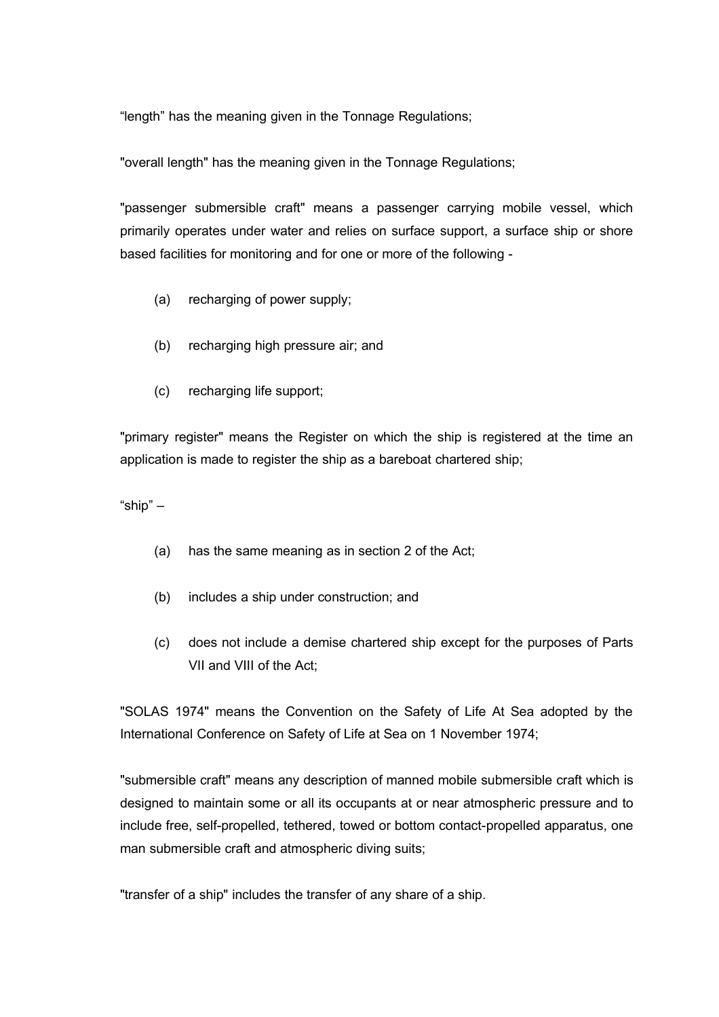"length" has the meaning given in the Tonnage Regulations;

"overall length" has the meaning given in the Tonnage Regulations;

"passenger submersible craft" means a passenger carrying mobile vessel, which primarily operates under water and relies on surface support, a surface ship or shore based facilities for monitoring and for one or more of the following -

- (a) recharging of power supply;
- (b) recharging high pressure air; and
- (c) recharging life support;

"primary register" means the Register on which the ship is registered at the time an application is made to register the ship as a bareboat chartered ship;

"ship" –

- (a) has the same meaning as in section 2 of the Act;
- (b) includes a ship under construction; and
- (c) does not include a demise chartered ship except for the purposes of Parts VII and VIII of the Act;

"SOLAS 1974" means the Convention on the Safety of Life At Sea adopted by the International Conference on Safety of Life at Sea on 1 November 1974;

"submersible craft" means any description of manned mobile submersible craft which is designed to maintain some or all its occupants at or near atmospheric pressure and to include free, self-propelled, tethered, towed or bottom contact-propelled apparatus, one man submersible craft and atmospheric diving suits;

"transfer of a ship" includes the transfer of any share of a ship.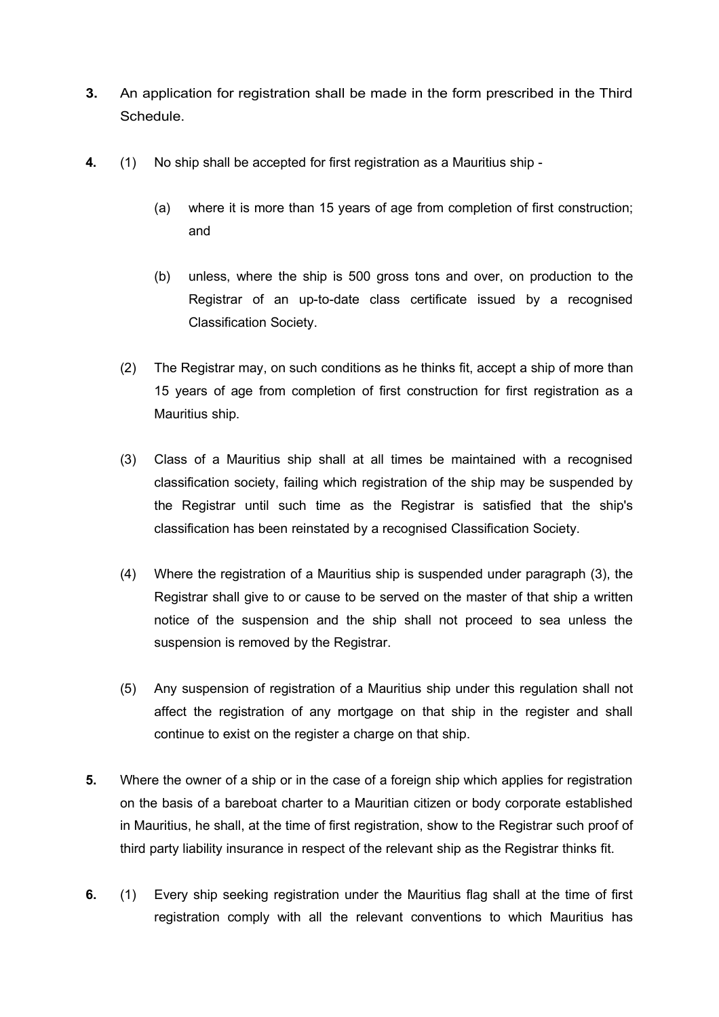- **3.** An application for registration shall be made in the form prescribed in the Third Schedule.
- **4.** (1) No ship shall be accepted for first registration as a Mauritius ship
	- (a) where it is more than 15 years of age from completion of first construction; and
	- (b) unless, where the ship is 500 gross tons and over, on production to the Registrar of an up-to-date class certificate issued by a recognised Classification Society.
	- (2) The Registrar may, on such conditions as he thinks fit, accept a ship of more than 15 years of age from completion of first construction for first registration as a Mauritius ship.
	- (3) Class of a Mauritius ship shall at all times be maintained with a recognised classification society, failing which registration of the ship may be suspended by the Registrar until such time as the Registrar is satisfied that the ship's classification has been reinstated by a recognised Classification Society.
	- (4) Where the registration of a Mauritius ship is suspended under paragraph (3), the Registrar shall give to or cause to be served on the master of that ship a written notice of the suspension and the ship shall not proceed to sea unless the suspension is removed by the Registrar.
	- (5) Any suspension of registration of a Mauritius ship under this regulation shall not affect the registration of any mortgage on that ship in the register and shall continue to exist on the register a charge on that ship.
- **5.** Where the owner of a ship or in the case of a foreign ship which applies for registration on the basis of a bareboat charter to a Mauritian citizen or body corporate established in Mauritius, he shall, at the time of first registration, show to the Registrar such proof of third party liability insurance in respect of the relevant ship as the Registrar thinks fit.
- **6.** (1) Every ship seeking registration under the Mauritius flag shall at the time of first registration comply with all the relevant conventions to which Mauritius has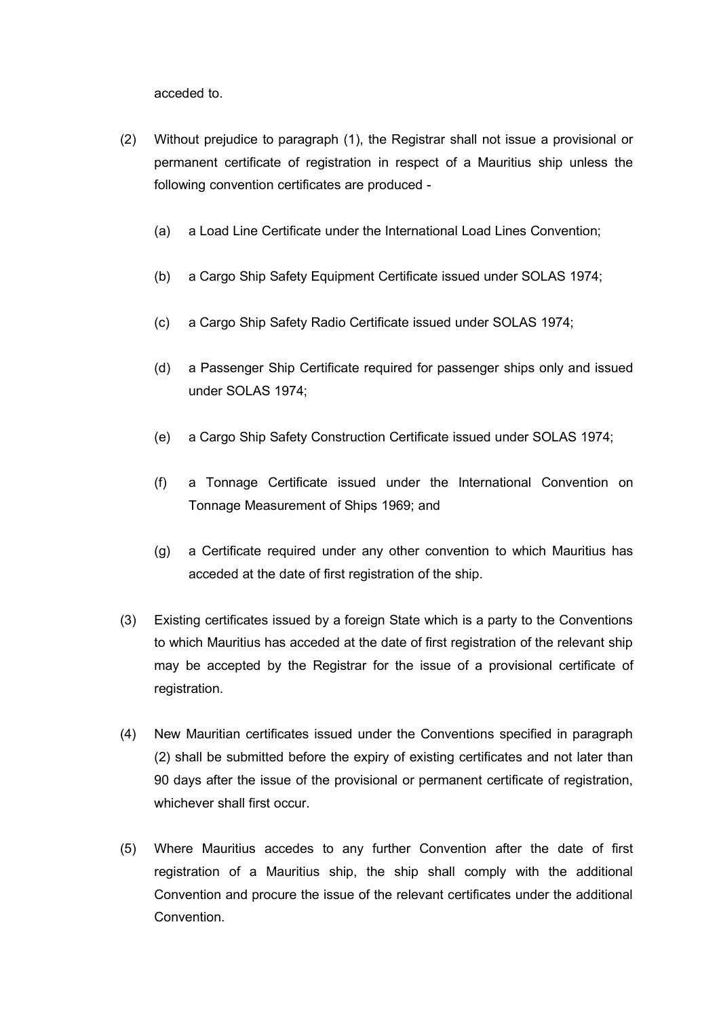acceded to.

- (2) Without prejudice to paragraph (1), the Registrar shall not issue a provisional or permanent certificate of registration in respect of a Mauritius ship unless the following convention certificates are produced -
	- (a) a Load Line Certificate under the International Load Lines Convention;
	- (b) a Cargo Ship Safety Equipment Certificate issued under SOLAS 1974;
	- (c) a Cargo Ship Safety Radio Certificate issued under SOLAS 1974;
	- (d) a Passenger Ship Certificate required for passenger ships only and issued under SOLAS 1974;
	- (e) a Cargo Ship Safety Construction Certificate issued under SOLAS 1974;
	- (f) a Tonnage Certificate issued under the International Convention on Tonnage Measurement of Ships 1969; and
	- (g) a Certificate required under any other convention to which Mauritius has acceded at the date of first registration of the ship.
- (3) Existing certificates issued by a foreign State which is a party to the Conventions to which Mauritius has acceded at the date of first registration of the relevant ship may be accepted by the Registrar for the issue of a provisional certificate of registration.
- (4) New Mauritian certificates issued under the Conventions specified in paragraph (2) shall be submitted before the expiry of existing certificates and not later than 90 days after the issue of the provisional or permanent certificate of registration, whichever shall first occur.
- (5) Where Mauritius accedes to any further Convention after the date of first registration of a Mauritius ship, the ship shall comply with the additional Convention and procure the issue of the relevant certificates under the additional Convention.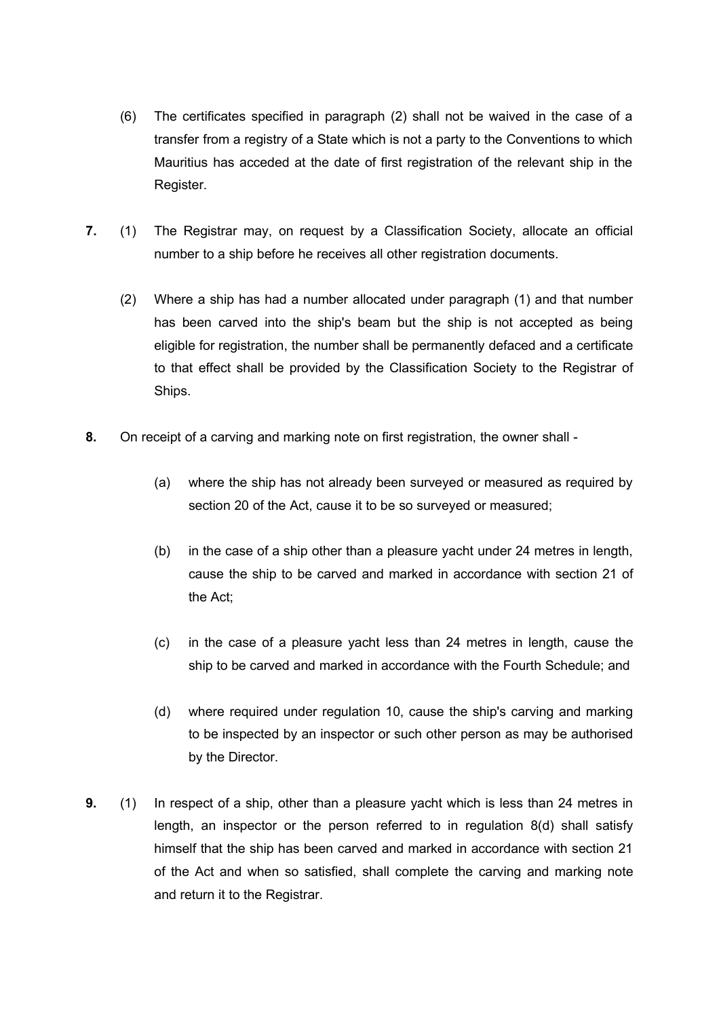- (6) The certificates specified in paragraph (2) shall not be waived in the case of a transfer from a registry of a State which is not a party to the Conventions to which Mauritius has acceded at the date of first registration of the relevant ship in the Register.
- **7.** (1) The Registrar may, on request by a Classification Society, allocate an official number to a ship before he receives all other registration documents.
	- (2) Where a ship has had a number allocated under paragraph (1) and that number has been carved into the ship's beam but the ship is not accepted as being eligible for registration, the number shall be permanently defaced and a certificate to that effect shall be provided by the Classification Society to the Registrar of Ships.
- **8.** On receipt of a carving and marking note on first registration, the owner shall
	- (a) where the ship has not already been surveyed or measured as required by section 20 of the Act, cause it to be so surveyed or measured;
	- (b) in the case of a ship other than a pleasure yacht under 24 metres in length, cause the ship to be carved and marked in accordance with section 21 of the Act;
	- (c) in the case of a pleasure yacht less than 24 metres in length, cause the ship to be carved and marked in accordance with the Fourth Schedule; and
	- (d) where required under regulation 10, cause the ship's carving and marking to be inspected by an inspector or such other person as may be authorised by the Director.
- **9.** (1) In respect of a ship, other than a pleasure yacht which is less than 24 metres in length, an inspector or the person referred to in regulation 8(d) shall satisfy himself that the ship has been carved and marked in accordance with section 21 of the Act and when so satisfied, shall complete the carving and marking note and return it to the Registrar.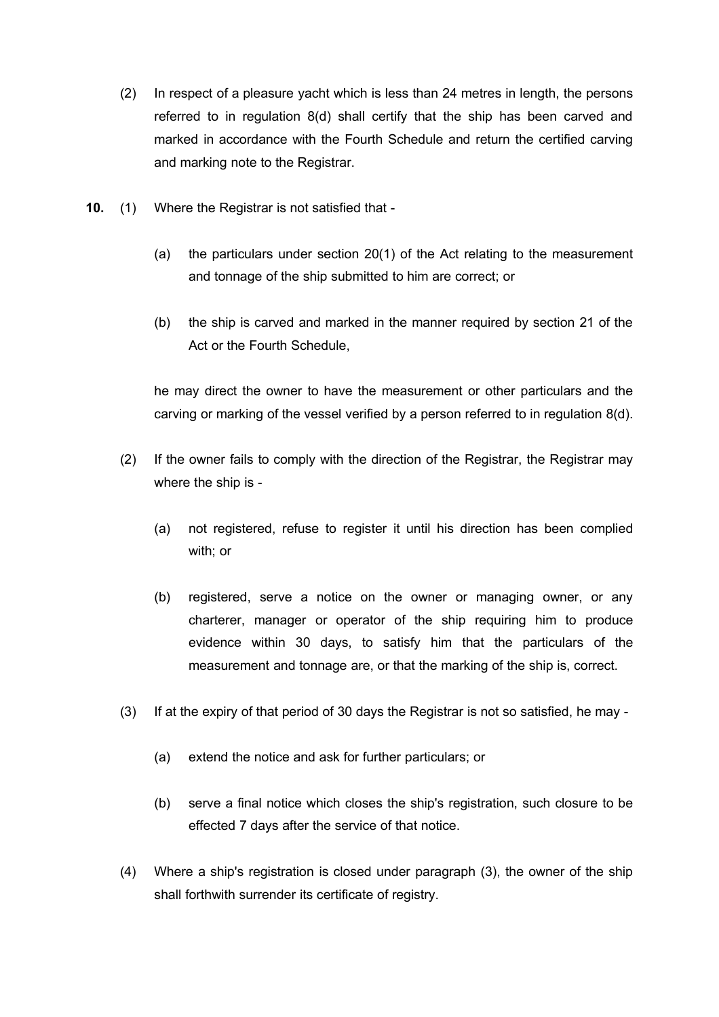- (2) In respect of a pleasure yacht which is less than 24 metres in length, the persons referred to in regulation 8(d) shall certify that the ship has been carved and marked in accordance with the Fourth Schedule and return the certified carving and marking note to the Registrar.
- **10.** (1) Where the Registrar is not satisfied that
	- (a) the particulars under section 20(1) of the Act relating to the measurement and tonnage of the ship submitted to him are correct; or
	- (b) the ship is carved and marked in the manner required by section 21 of the Act or the Fourth Schedule,

he may direct the owner to have the measurement or other particulars and the carving or marking of the vessel verified by a person referred to in regulation 8(d).

- (2) If the owner fails to comply with the direction of the Registrar, the Registrar may where the ship is -
	- (a) not registered, refuse to register it until his direction has been complied with; or
	- (b) registered, serve a notice on the owner or managing owner, or any charterer, manager or operator of the ship requiring him to produce evidence within 30 days, to satisfy him that the particulars of the measurement and tonnage are, or that the marking of the ship is, correct.
- (3) If at the expiry of that period of 30 days the Registrar is not so satisfied, he may
	- (a) extend the notice and ask for further particulars; or
	- (b) serve a final notice which closes the ship's registration, such closure to be effected 7 days after the service of that notice.
- (4) Where a ship's registration is closed under paragraph (3), the owner of the ship shall forthwith surrender its certificate of registry.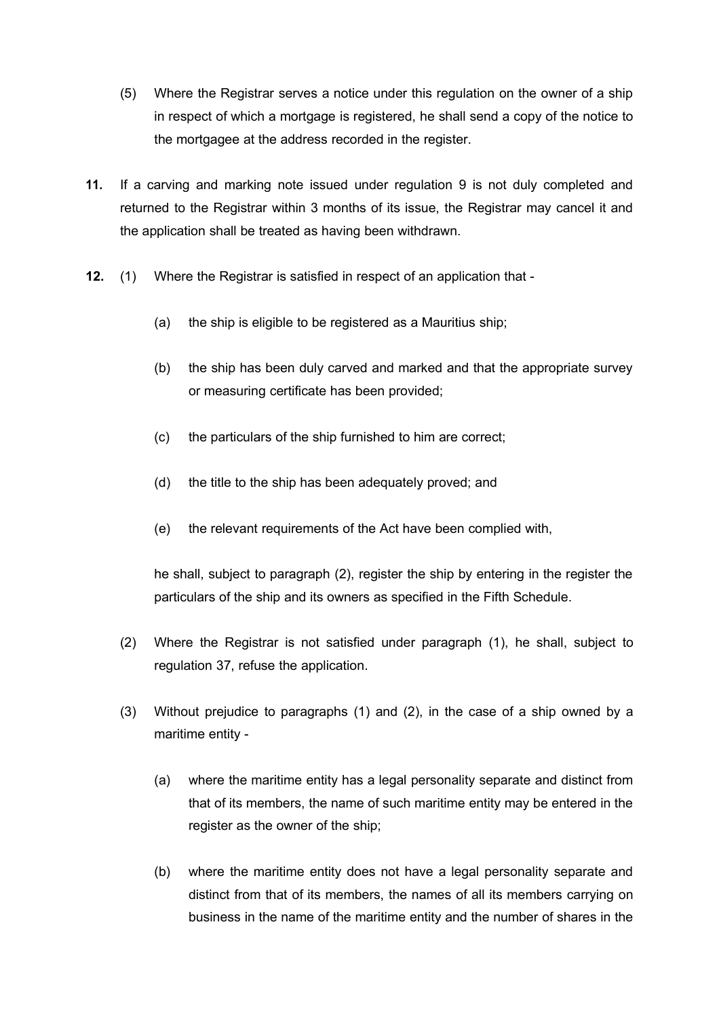- (5) Where the Registrar serves a notice under this regulation on the owner of a ship in respect of which a mortgage is registered, he shall send a copy of the notice to the mortgagee at the address recorded in the register.
- **11.** If a carving and marking note issued under regulation 9 is not duly completed and returned to the Registrar within 3 months of its issue, the Registrar may cancel it and the application shall be treated as having been withdrawn.
- **12.** (1) Where the Registrar is satisfied in respect of an application that
	- (a) the ship is eligible to be registered as a Mauritius ship;
	- (b) the ship has been duly carved and marked and that the appropriate survey or measuring certificate has been provided;
	- (c) the particulars of the ship furnished to him are correct;
	- (d) the title to the ship has been adequately proved; and
	- (e) the relevant requirements of the Act have been complied with,

he shall, subject to paragraph (2), register the ship by entering in the register the particulars of the ship and its owners as specified in the Fifth Schedule.

- (2) Where the Registrar is not satisfied under paragraph (1), he shall, subject to regulation 37, refuse the application.
- (3) Without prejudice to paragraphs (1) and (2), in the case of a ship owned by a maritime entity -
	- (a) where the maritime entity has a legal personality separate and distinct from that of its members, the name of such maritime entity may be entered in the register as the owner of the ship;
	- (b) where the maritime entity does not have a legal personality separate and distinct from that of its members, the names of all its members carrying on business in the name of the maritime entity and the number of shares in the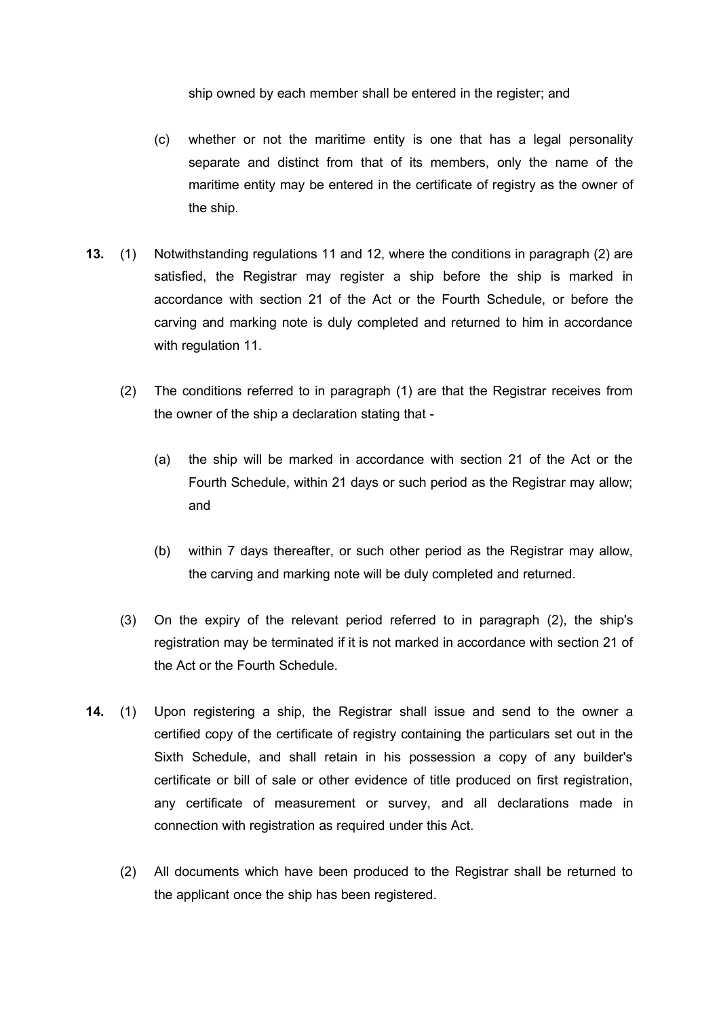ship owned by each member shall be entered in the register; and

- (c) whether or not the maritime entity is one that has a legal personality separate and distinct from that of its members, only the name of the maritime entity may be entered in the certificate of registry as the owner of the ship.
- **13.** (1) Notwithstanding regulations 11 and 12, where the conditions in paragraph (2) are satisfied, the Registrar may register a ship before the ship is marked in accordance with section 21 of the Act or the Fourth Schedule, or before the carving and marking note is duly completed and returned to him in accordance with regulation 11.
	- (2) The conditions referred to in paragraph (1) are that the Registrar receives from the owner of the ship a declaration stating that -
		- (a) the ship will be marked in accordance with section 21 of the Act or the Fourth Schedule, within 21 days or such period as the Registrar may allow; and
		- (b) within 7 days thereafter, or such other period as the Registrar may allow, the carving and marking note will be duly completed and returned.
	- (3) On the expiry of the relevant period referred to in paragraph (2), the ship's registration may be terminated if it is not marked in accordance with section 21 of the Act or the Fourth Schedule.
- **14.** (1) Upon registering a ship, the Registrar shall issue and send to the owner a certified copy of the certificate of registry containing the particulars set out in the Sixth Schedule, and shall retain in his possession a copy of any builder's certificate or bill of sale or other evidence of title produced on first registration, any certificate of measurement or survey, and all declarations made in connection with registration as required under this Act.
	- (2) All documents which have been produced to the Registrar shall be returned to the applicant once the ship has been registered.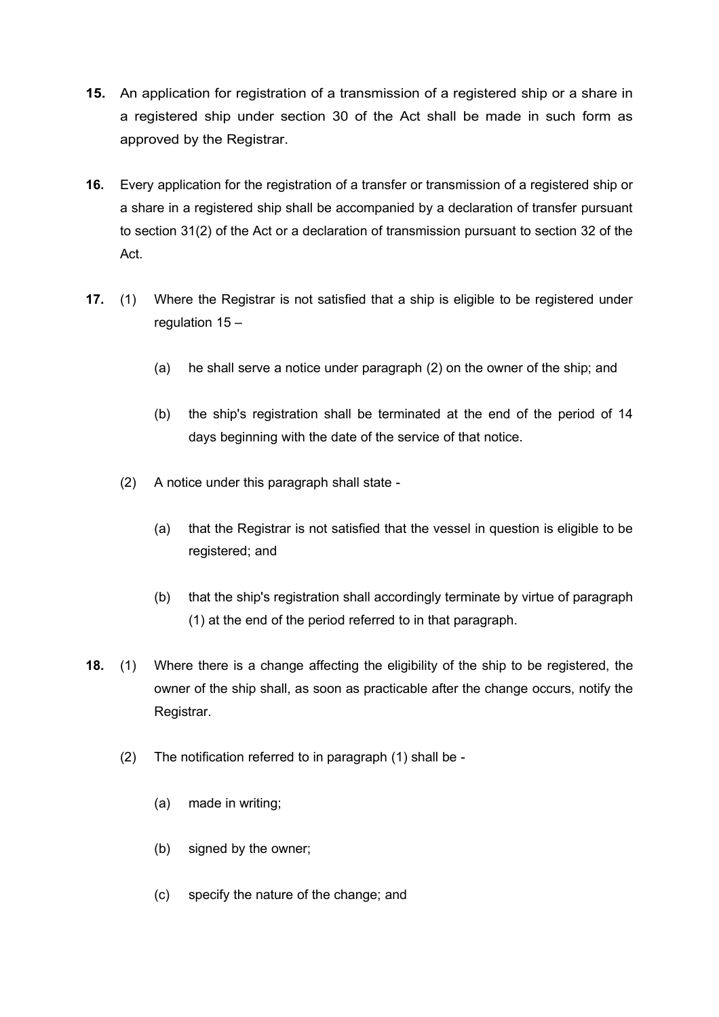- **15.** An application for registration of a transmission of a registered ship or a share in a registered ship under section 30 of the Act shall be made in such form as approved by the Registrar.
- **16.** Every application for the registration of a transfer or transmission of a registered ship or a share in a registered ship shall be accompanied by a declaration of transfer pursuant to section 31(2) of the Act or a declaration of transmission pursuant to section 32 of the Act.
- **17.** (1) Where the Registrar is not satisfied that a ship is eligible to be registered under regulation 15 –
	- (a) he shall serve a notice under paragraph (2) on the owner of the ship; and
	- (b) the ship's registration shall be terminated at the end of the period of 14 days beginning with the date of the service of that notice.
	- (2) A notice under this paragraph shall state
		- (a) that the Registrar is not satisfied that the vessel in question is eligible to be registered; and
		- (b) that the ship's registration shall accordingly terminate by virtue of paragraph (1) at the end of the period referred to in that paragraph.
- **18.** (1) Where there is a change affecting the eligibility of the ship to be registered, the owner of the ship shall, as soon as practicable after the change occurs, notify the Registrar.
	- (2) The notification referred to in paragraph (1) shall be
		- (a) made in writing;
		- (b) signed by the owner;
		- (c) specify the nature of the change; and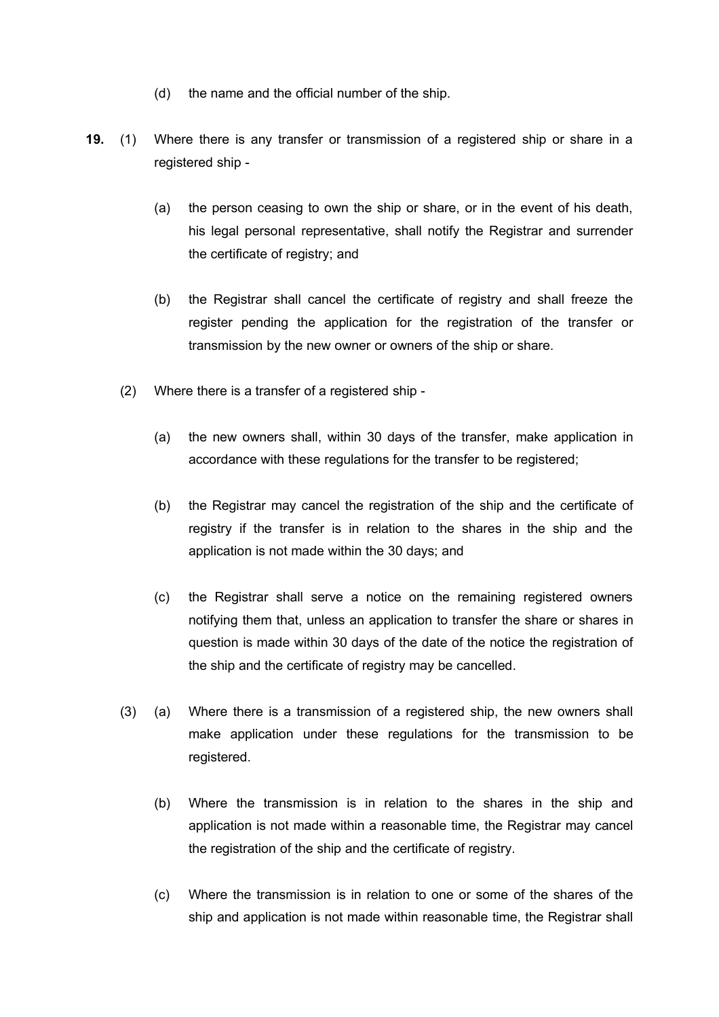- (d) the name and the official number of the ship.
- **19.** (1) Where there is any transfer or transmission of a registered ship or share in a registered ship -
	- (a) the person ceasing to own the ship or share, or in the event of his death, his legal personal representative, shall notify the Registrar and surrender the certificate of registry; and
	- (b) the Registrar shall cancel the certificate of registry and shall freeze the register pending the application for the registration of the transfer or transmission by the new owner or owners of the ship or share.
	- (2) Where there is a transfer of a registered ship
		- (a) the new owners shall, within 30 days of the transfer, make application in accordance with these regulations for the transfer to be registered;
		- (b) the Registrar may cancel the registration of the ship and the certificate of registry if the transfer is in relation to the shares in the ship and the application is not made within the 30 days; and
		- (c) the Registrar shall serve a notice on the remaining registered owners notifying them that, unless an application to transfer the share or shares in question is made within 30 days of the date of the notice the registration of the ship and the certificate of registry may be cancelled.
	- (3) (a) Where there is a transmission of a registered ship, the new owners shall make application under these regulations for the transmission to be registered.
		- (b) Where the transmission is in relation to the shares in the ship and application is not made within a reasonable time, the Registrar may cancel the registration of the ship and the certificate of registry.
		- (c) Where the transmission is in relation to one or some of the shares of the ship and application is not made within reasonable time, the Registrar shall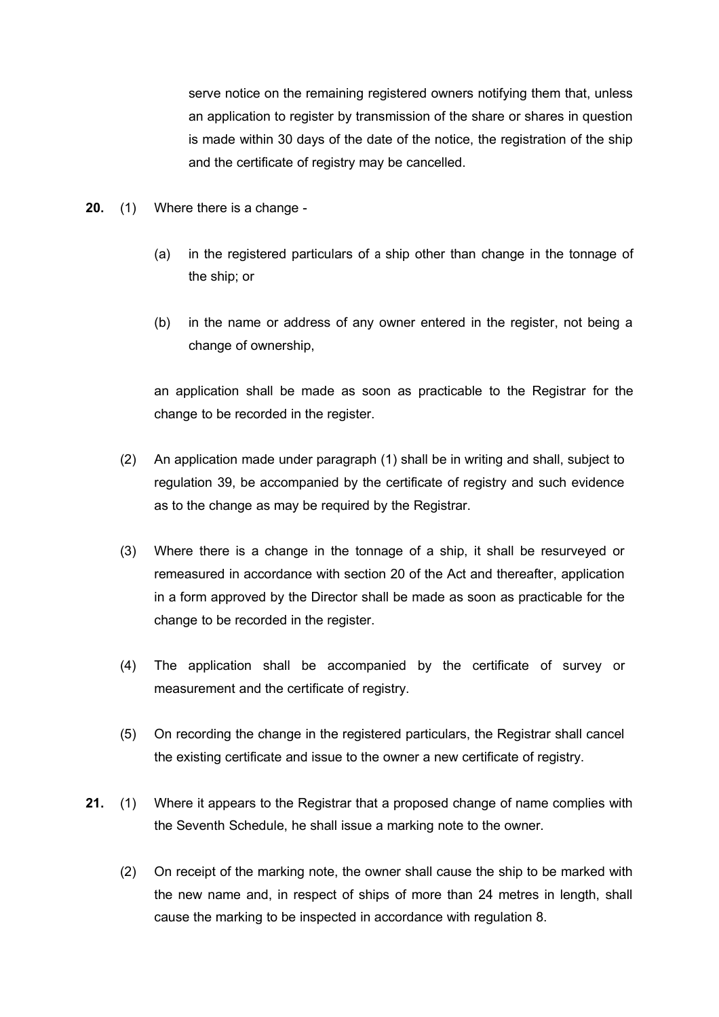serve notice on the remaining registered owners notifying them that, unless an application to register by transmission of the share or shares in question is made within 30 days of the date of the notice, the registration of the ship and the certificate of registry may be cancelled.

- **20.** (1) Where there is a change
	- (a) in the registered particulars of a ship other than change in the tonnage of the ship; or
	- (b) in the name or address of any owner entered in the register, not being a change of ownership,

an application shall be made as soon as practicable to the Registrar for the change to be recorded in the register.

- (2) An application made under paragraph (1) shall be in writing and shall, subject to regulation 39, be accompanied by the certificate of registry and such evidence as to the change as may be required by the Registrar.
- (3) Where there is a change in the tonnage of a ship, it shall be resurveyed or remeasured in accordance with section 20 of the Act and thereafter, application in a form approved by the Director shall be made as soon as practicable for the change to be recorded in the register.
- (4) The application shall be accompanied by the certificate of survey or measurement and the certificate of registry.
- (5) On recording the change in the registered particulars, the Registrar shall cancel the existing certificate and issue to the owner a new certificate of registry.
- **21.** (1) Where it appears to the Registrar that a proposed change of name complies with the Seventh Schedule, he shall issue a marking note to the owner.
	- (2) On receipt of the marking note, the owner shall cause the ship to be marked with the new name and, in respect of ships of more than 24 metres in length, shall cause the marking to be inspected in accordance with regulation 8.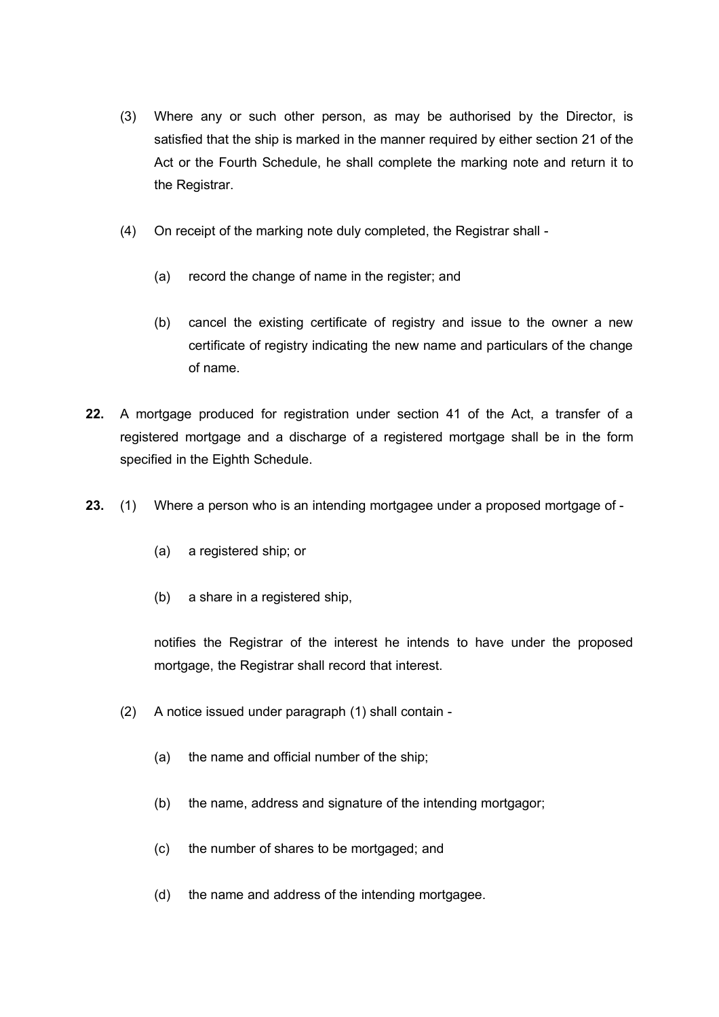- (3) Where any or such other person, as may be authorised by the Director, is satisfied that the ship is marked in the manner required by either section 21 of the Act or the Fourth Schedule, he shall complete the marking note and return it to the Registrar.
- (4) On receipt of the marking note duly completed, the Registrar shall
	- (a) record the change of name in the register; and
	- (b) cancel the existing certificate of registry and issue to the owner a new certificate of registry indicating the new name and particulars of the change of name.
- **22.** A mortgage produced for registration under section 41 of the Act, a transfer of a registered mortgage and a discharge of a registered mortgage shall be in the form specified in the Eighth Schedule.
- **23.** (1) Where a person who is an intending mortgagee under a proposed mortgage of
	- (a) a registered ship; or
	- (b) a share in a registered ship,

notifies the Registrar of the interest he intends to have under the proposed mortgage, the Registrar shall record that interest.

- (2) A notice issued under paragraph (1) shall contain
	- (a) the name and official number of the ship;
	- (b) the name, address and signature of the intending mortgagor;
	- (c) the number of shares to be mortgaged; and
	- (d) the name and address of the intending mortgagee.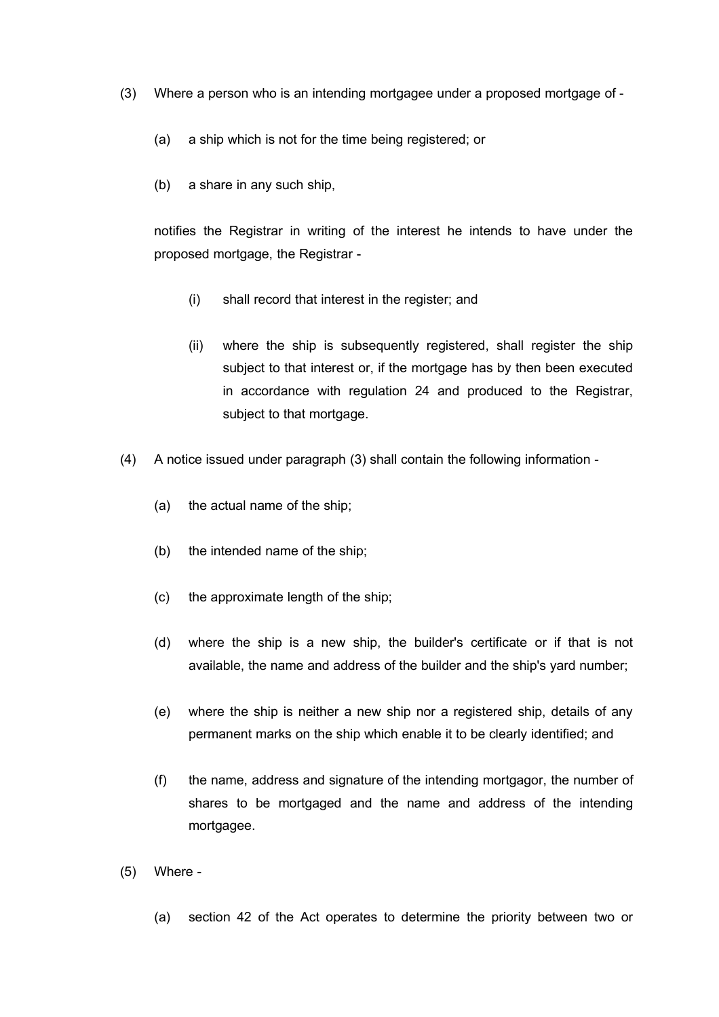- (3) Where a person who is an intending mortgagee under a proposed mortgage of
	- (a) a ship which is not for the time being registered; or
	- (b) a share in any such ship,

notifies the Registrar in writing of the interest he intends to have under the proposed mortgage, the Registrar -

- (i) shall record that interest in the register; and
- (ii) where the ship is subsequently registered, shall register the ship subject to that interest or, if the mortgage has by then been executed in accordance with regulation 24 and produced to the Registrar, subject to that mortgage.
- (4) A notice issued under paragraph (3) shall contain the following information
	- (a) the actual name of the ship;
	- (b) the intended name of the ship;
	- (c) the approximate length of the ship;
	- (d) where the ship is a new ship, the builder's certificate or if that is not available, the name and address of the builder and the ship's yard number;
	- (e) where the ship is neither a new ship nor a registered ship, details of any permanent marks on the ship which enable it to be clearly identified; and
	- (f) the name, address and signature of the intending mortgagor, the number of shares to be mortgaged and the name and address of the intending mortgagee.
- (5) Where
	- (a) section 42 of the Act operates to determine the priority between two or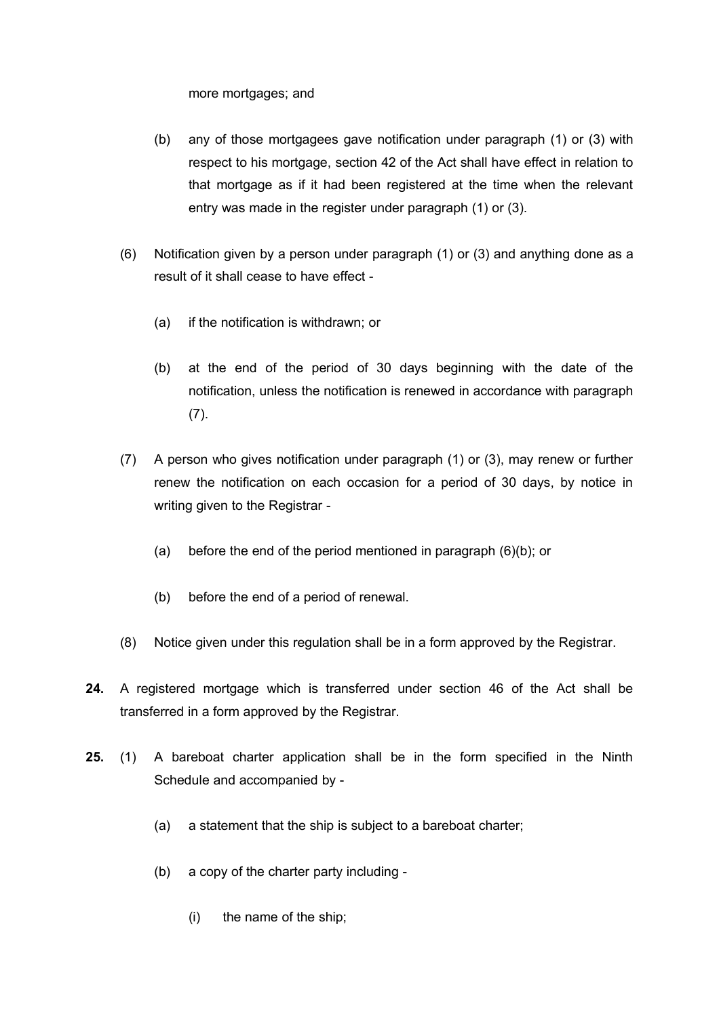more mortgages; and

- (b) any of those mortgagees gave notification under paragraph (1) or (3) with respect to his mortgage, section 42 of the Act shall have effect in relation to that mortgage as if it had been registered at the time when the relevant entry was made in the register under paragraph (1) or (3).
- (6) Notification given by a person under paragraph (1) or (3) and anything done as a result of it shall cease to have effect -
	- (a) if the notification is withdrawn; or
	- (b) at the end of the period of 30 days beginning with the date of the notification, unless the notification is renewed in accordance with paragraph (7).
- (7) A person who gives notification under paragraph (1) or (3), may renew or further renew the notification on each occasion for a period of 30 days, by notice in writing given to the Registrar -
	- (a) before the end of the period mentioned in paragraph (6)(b); or
	- (b) before the end of a period of renewal.
- (8) Notice given under this regulation shall be in a form approved by the Registrar.
- **24.** A registered mortgage which is transferred under section 46 of the Act shall be transferred in a form approved by the Registrar.
- **25.** (1) A bareboat charter application shall be in the form specified in the Ninth Schedule and accompanied by -
	- (a) a statement that the ship is subject to a bareboat charter;
	- (b) a copy of the charter party including
		- (i) the name of the ship;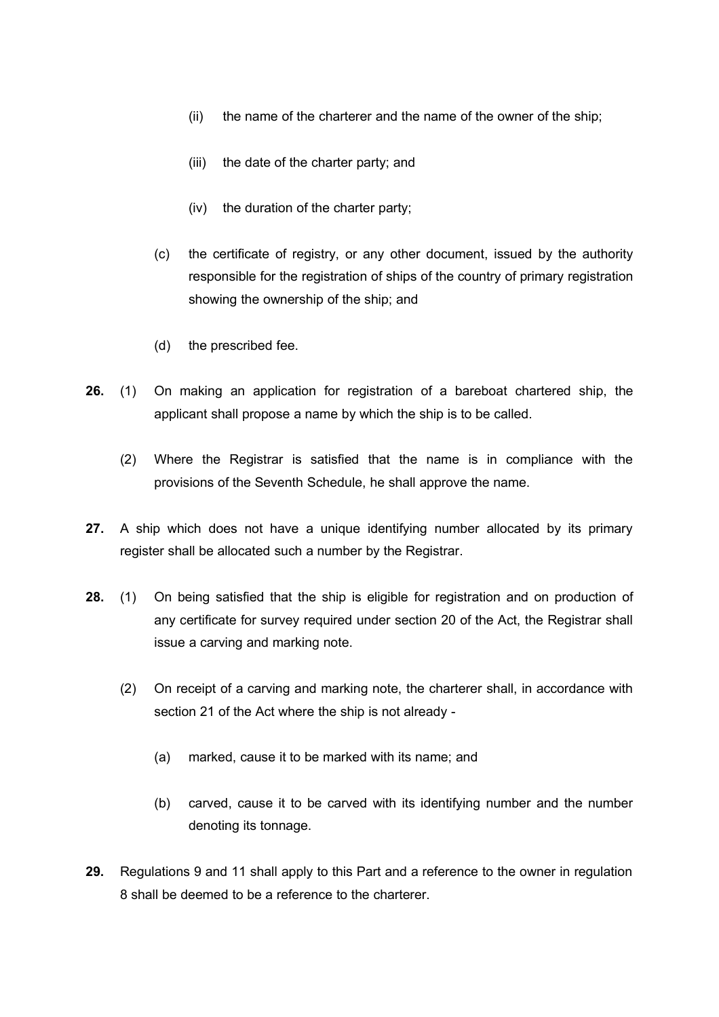- (ii) the name of the charterer and the name of the owner of the ship;
- (iii) the date of the charter party; and
- (iv) the duration of the charter party;
- (c) the certificate of registry, or any other document, issued by the authority responsible for the registration of ships of the country of primary registration showing the ownership of the ship; and
- (d) the prescribed fee.
- **26.** (1) On making an application for registration of a bareboat chartered ship, the applicant shall propose a name by which the ship is to be called.
	- (2) Where the Registrar is satisfied that the name is in compliance with the provisions of the Seventh Schedule, he shall approve the name.
- **27.** A ship which does not have a unique identifying number allocated by its primary register shall be allocated such a number by the Registrar.
- **28.** (1) On being satisfied that the ship is eligible for registration and on production of any certificate for survey required under section 20 of the Act, the Registrar shall issue a carving and marking note.
	- (2) On receipt of a carving and marking note, the charterer shall, in accordance with section 21 of the Act where the ship is not already -
		- (a) marked, cause it to be marked with its name; and
		- (b) carved, cause it to be carved with its identifying number and the number denoting its tonnage.
- **29.** Regulations 9 and 11 shall apply to this Part and a reference to the owner in regulation 8 shall be deemed to be a reference to the charterer.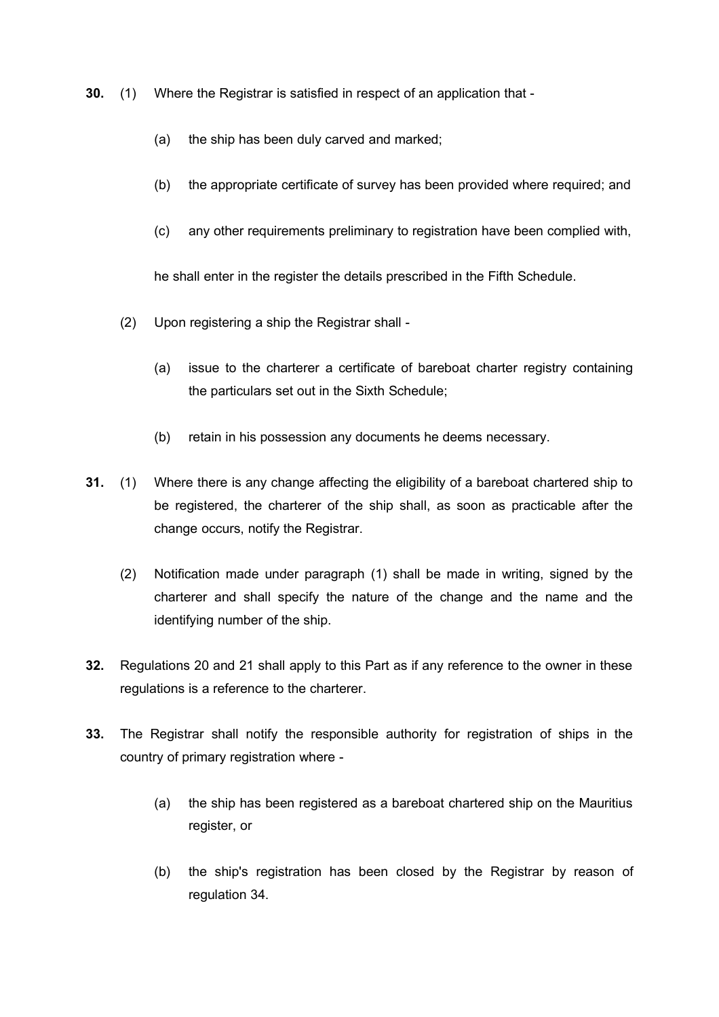- **30.** (1) Where the Registrar is satisfied in respect of an application that
	- (a) the ship has been duly carved and marked;
	- (b) the appropriate certificate of survey has been provided where required; and
	- (c) any other requirements preliminary to registration have been complied with,

he shall enter in the register the details prescribed in the Fifth Schedule.

- (2) Upon registering a ship the Registrar shall
	- (a) issue to the charterer a certificate of bareboat charter registry containing the particulars set out in the Sixth Schedule;
	- (b) retain in his possession any documents he deems necessary.
- **31.** (1) Where there is any change affecting the eligibility of a bareboat chartered ship to be registered, the charterer of the ship shall, as soon as practicable after the change occurs, notify the Registrar.
	- (2) Notification made under paragraph (1) shall be made in writing, signed by the charterer and shall specify the nature of the change and the name and the identifying number of the ship.
- **32.** Regulations 20 and 21 shall apply to this Part as if any reference to the owner in these regulations is a reference to the charterer.
- **33.** The Registrar shall notify the responsible authority for registration of ships in the country of primary registration where -
	- (a) the ship has been registered as a bareboat chartered ship on the Mauritius register, or
	- (b) the ship's registration has been closed by the Registrar by reason of regulation 34.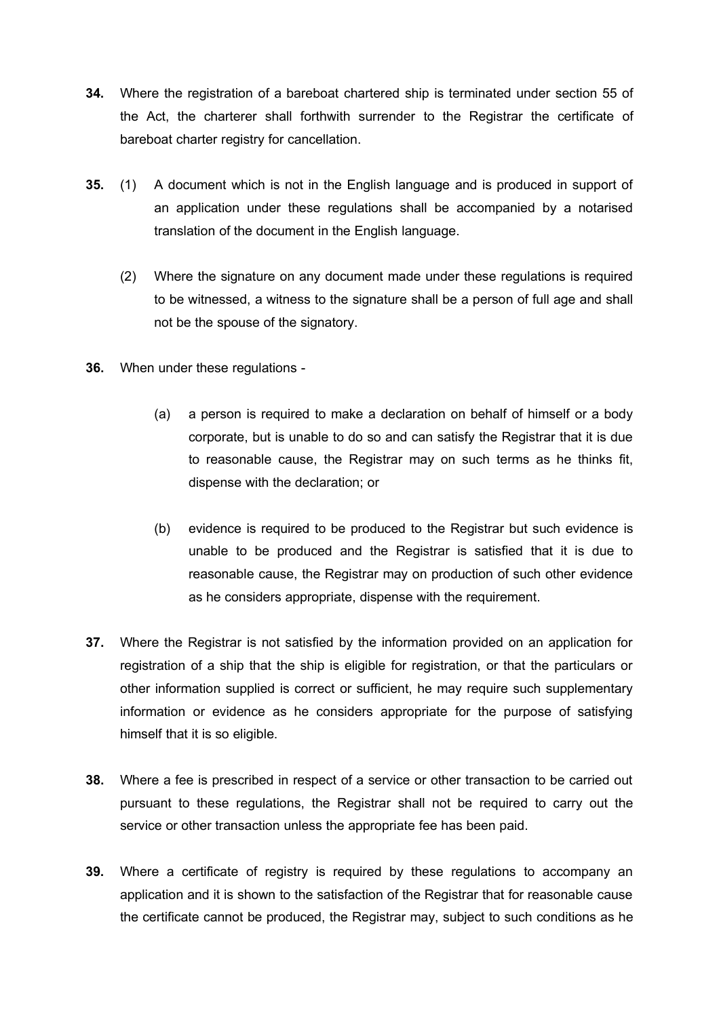- **34.** Where the registration of a bareboat chartered ship is terminated under section 55 of the Act, the charterer shall forthwith surrender to the Registrar the certificate of bareboat charter registry for cancellation.
- **35.** (1) A document which is not in the English language and is produced in support of an application under these regulations shall be accompanied by a notarised translation of the document in the English language.
	- (2) Where the signature on any document made under these regulations is required to be witnessed, a witness to the signature shall be a person of full age and shall not be the spouse of the signatory.
- **36.** When under these regulations
	- (a) a person is required to make a declaration on behalf of himself or a body corporate, but is unable to do so and can satisfy the Registrar that it is due to reasonable cause, the Registrar may on such terms as he thinks fit, dispense with the declaration; or
	- (b) evidence is required to be produced to the Registrar but such evidence is unable to be produced and the Registrar is satisfied that it is due to reasonable cause, the Registrar may on production of such other evidence as he considers appropriate, dispense with the requirement.
- **37.** Where the Registrar is not satisfied by the information provided on an application for registration of a ship that the ship is eligible for registration, or that the particulars or other information supplied is correct or sufficient, he may require such supplementary information or evidence as he considers appropriate for the purpose of satisfying himself that it is so eligible.
- **38.** Where a fee is prescribed in respect of a service or other transaction to be carried out pursuant to these regulations, the Registrar shall not be required to carry out the service or other transaction unless the appropriate fee has been paid.
- **39.** Where a certificate of registry is required by these regulations to accompany an application and it is shown to the satisfaction of the Registrar that for reasonable cause the certificate cannot be produced, the Registrar may, subject to such conditions as he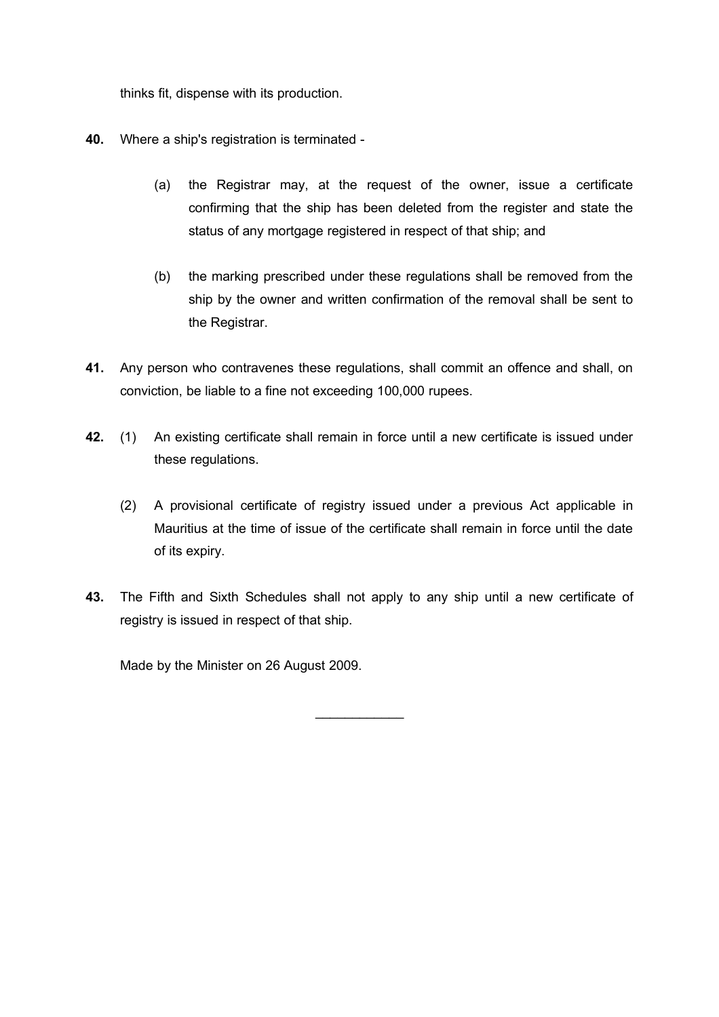thinks fit, dispense with its production.

- **40.** Where a ship's registration is terminated
	- (a) the Registrar may, at the request of the owner, issue a certificate confirming that the ship has been deleted from the register and state the status of any mortgage registered in respect of that ship; and
	- (b) the marking prescribed under these regulations shall be removed from the ship by the owner and written confirmation of the removal shall be sent to the Registrar.
- **41.** Any person who contravenes these regulations, shall commit an offence and shall, on conviction, be liable to a fine not exceeding 100,000 rupees.
- **42.** (1) An existing certificate shall remain in force until a new certificate is issued under these regulations.
	- (2) A provisional certificate of registry issued under a previous Act applicable in Mauritius at the time of issue of the certificate shall remain in force until the date of its expiry.
- **43.** The Fifth and Sixth Schedules shall not apply to any ship until a new certificate of registry is issued in respect of that ship.

 $\mathcal{L}_\text{max}$  . The set of the set of the set of the set of the set of the set of the set of the set of the set of the set of the set of the set of the set of the set of the set of the set of the set of the set of the set

Made by the Minister on 26 August 2009.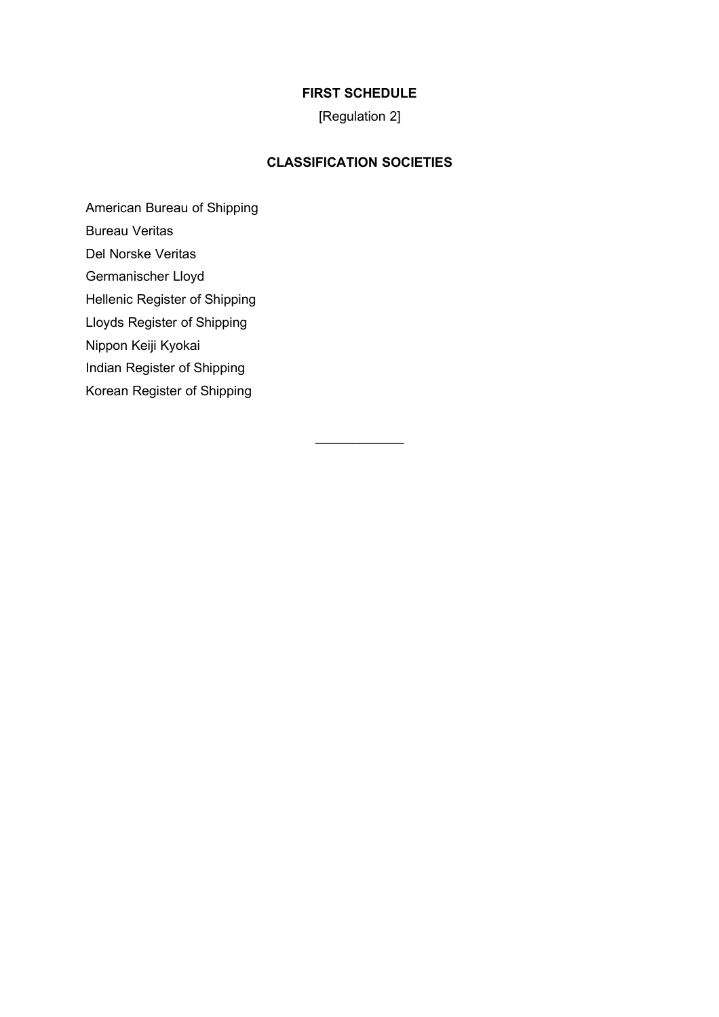# **FIRST SCHEDULE**

[Regulation 2]

# **CLASSIFICATION SOCIETIES**

 $\mathcal{L}_\text{max}$  . The set of the set of the set of the set of the set of the set of the set of the set of the set of the set of the set of the set of the set of the set of the set of the set of the set of the set of the set

American Bureau of Shipping

Bureau Veritas

Del Norske Veritas

Germanischer Lloyd

Hellenic Register of Shipping

Lloyds Register of Shipping

Nippon Keiji Kyokai

Indian Register of Shipping

Korean Register of Shipping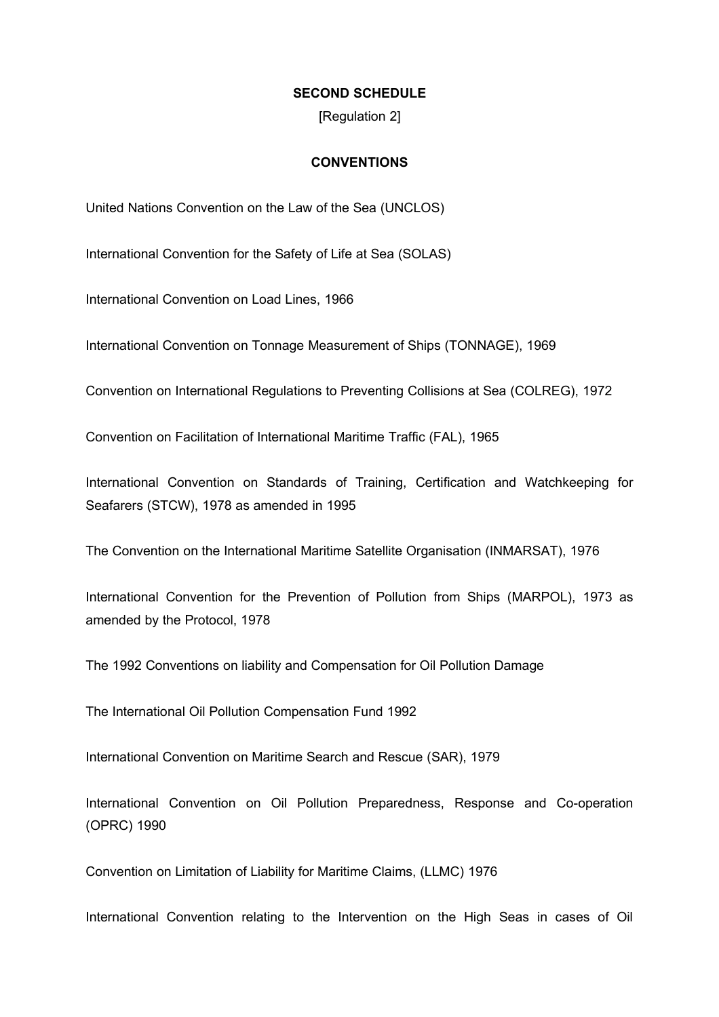#### **SECOND SCHEDULE**

[Regulation 2]

#### **CONVENTIONS**

United Nations Convention on the Law of the Sea (UNCLOS)

International Convention for the Safety of Life at Sea (SOLAS)

International Convention on Load Lines, 1966

International Convention on Tonnage Measurement of Ships (TONNAGE), 1969

Convention on International Regulations to Preventing Collisions at Sea (COLREG), 1972

Convention on Facilitation of International Maritime Traffic (FAL), 1965

International Convention on Standards of Training, Certification and Watchkeeping for Seafarers (STCW), 1978 as amended in 1995

The Convention on the International Maritime Satellite Organisation (INMARSAT), 1976

International Convention for the Prevention of Pollution from Ships (MARPOL), 1973 as amended by the Protocol, 1978

The 1992 Conventions on liability and Compensation for Oil Pollution Damage

The International Oil Pollution Compensation Fund 1992

International Convention on Maritime Search and Rescue (SAR), 1979

International Convention on Oil Pollution Preparedness, Response and Co-operation (OPRC) 1990

Convention on Limitation of Liability for Maritime Claims, (LLMC) 1976

International Convention relating to the Intervention on the High Seas in cases of Oil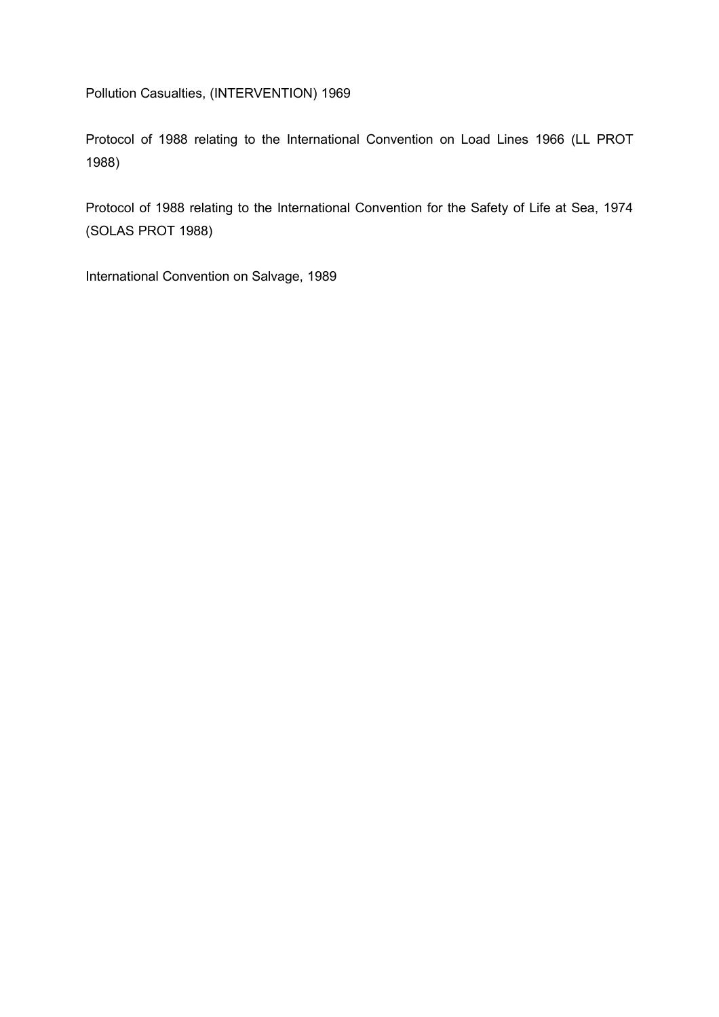Pollution Casualties, (INTERVENTION) 1969

Protocol of 1988 relating to the International Convention on Load Lines 1966 (LL PROT 1988)

Protocol of 1988 relating to the International Convention for the Safety of Life at Sea, 1974 (SOLAS PROT 1988)

International Convention on Salvage, 1989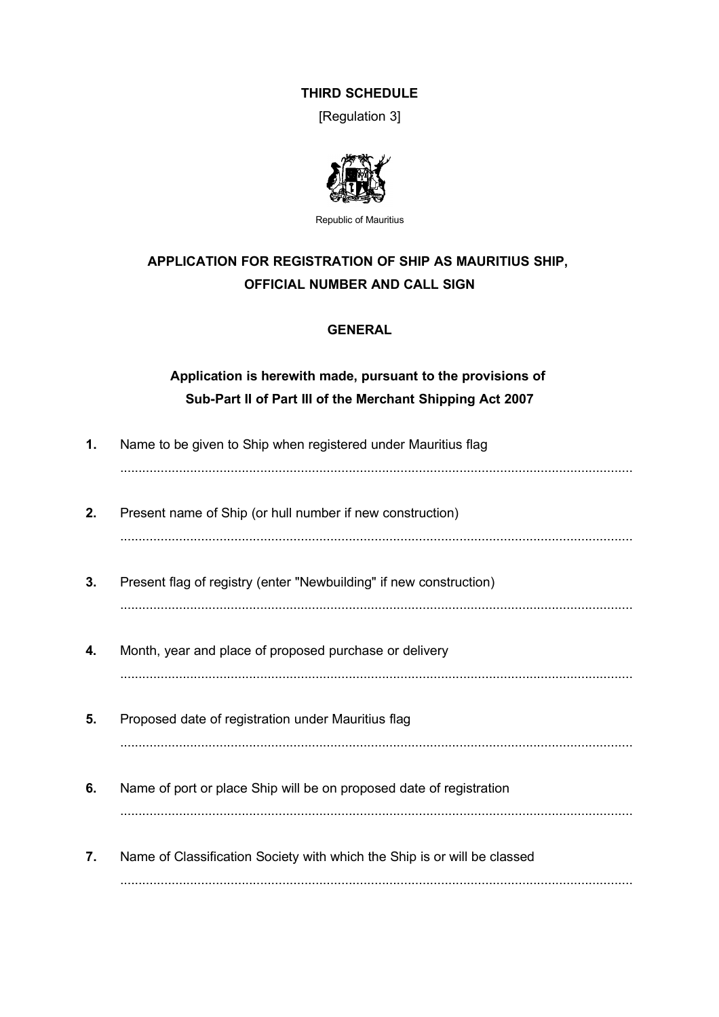### **THIRD SCHEDULE**

[Regulation 3]



Republic of Mauritius

# **APPLICATION FOR REGISTRATION OF SHIP AS MAURITIUS SHIP, OFFICIAL NUMBER AND CALL SIGN**

# **GENERAL**

# **Application is herewith made, pursuant to the provisions of Sub-Part II of Part III of the Merchant Shipping Act 2007**

| 1. | Name to be given to Ship when registered under Mauritius flag            |
|----|--------------------------------------------------------------------------|
| 2. | Present name of Ship (or hull number if new construction)                |
| 3. | Present flag of registry (enter "Newbuilding" if new construction)       |
| 4. | Month, year and place of proposed purchase or delivery                   |
| 5. | Proposed date of registration under Mauritius flag                       |
| 6. | Name of port or place Ship will be on proposed date of registration      |
| 7. | Name of Classification Society with which the Ship is or will be classed |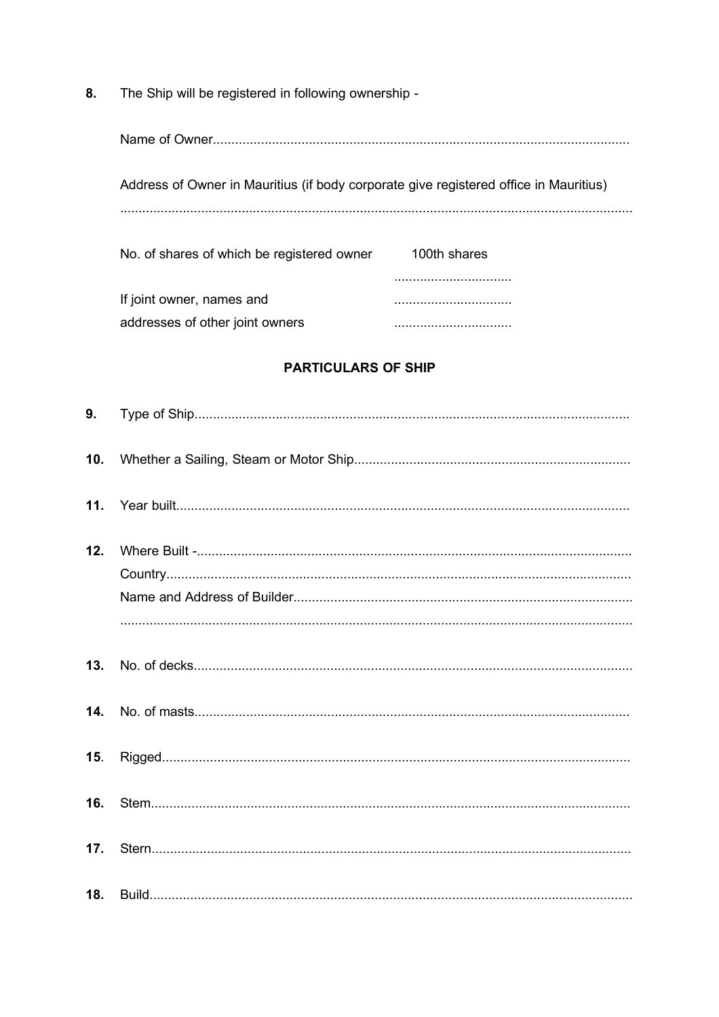The Ship will be registered in following ownership -8.

| Name of Owner                                                                         |              |
|---------------------------------------------------------------------------------------|--------------|
| Address of Owner in Mauritius (if body corporate give registered office in Mauritius) |              |
|                                                                                       |              |
| No. of shares of which be registered owner                                            | 100th shares |
|                                                                                       |              |
| If joint owner, names and                                                             |              |
| addresses of other joint owners                                                       |              |

# **PARTICULARS OF SHIP**

| 10. |  |
|-----|--|
|     |  |
| 12. |  |
| 13. |  |
|     |  |
| 15. |  |
| 16. |  |
| 17. |  |
|     |  |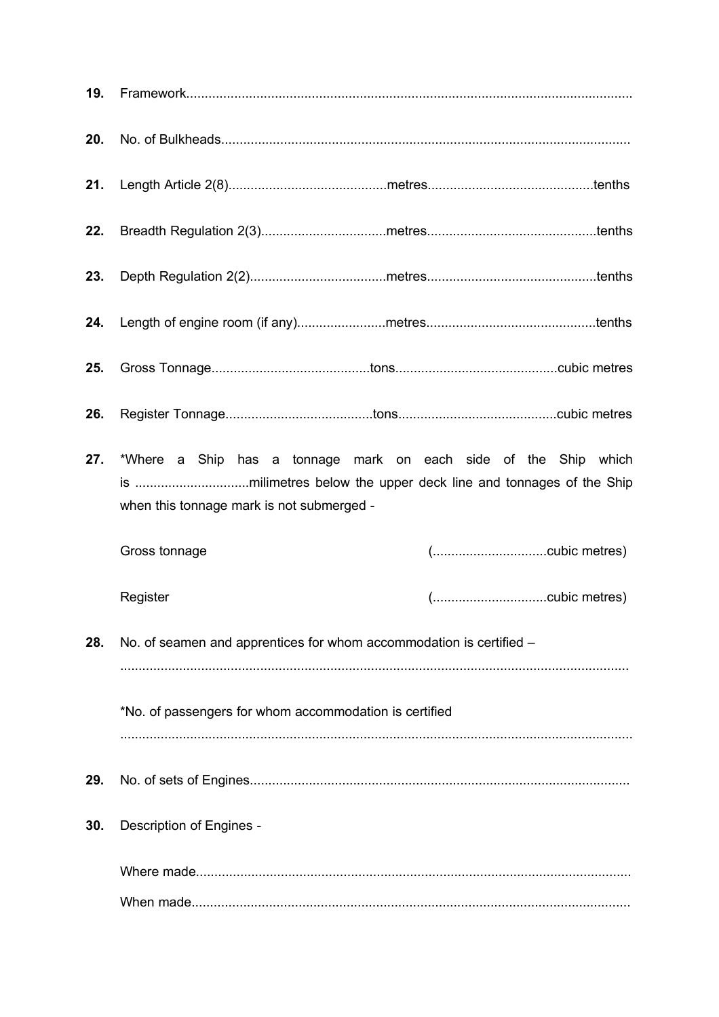| 19. |                                                                                                              |  |
|-----|--------------------------------------------------------------------------------------------------------------|--|
| 20. |                                                                                                              |  |
| 21. |                                                                                                              |  |
| 22. |                                                                                                              |  |
| 23. |                                                                                                              |  |
| 24. |                                                                                                              |  |
| 25. |                                                                                                              |  |
| 26. |                                                                                                              |  |
| 27. | *Where a Ship has a tonnage mark on each side of the Ship which<br>when this tonnage mark is not submerged - |  |
|     | Gross tonnage                                                                                                |  |
|     | Register                                                                                                     |  |
| 28. | No. of seamen and apprentices for whom accommodation is certified -                                          |  |
|     |                                                                                                              |  |
|     | *No. of passengers for whom accommodation is certified                                                       |  |
| 29. |                                                                                                              |  |
| 30. | Description of Engines -                                                                                     |  |
|     |                                                                                                              |  |
|     |                                                                                                              |  |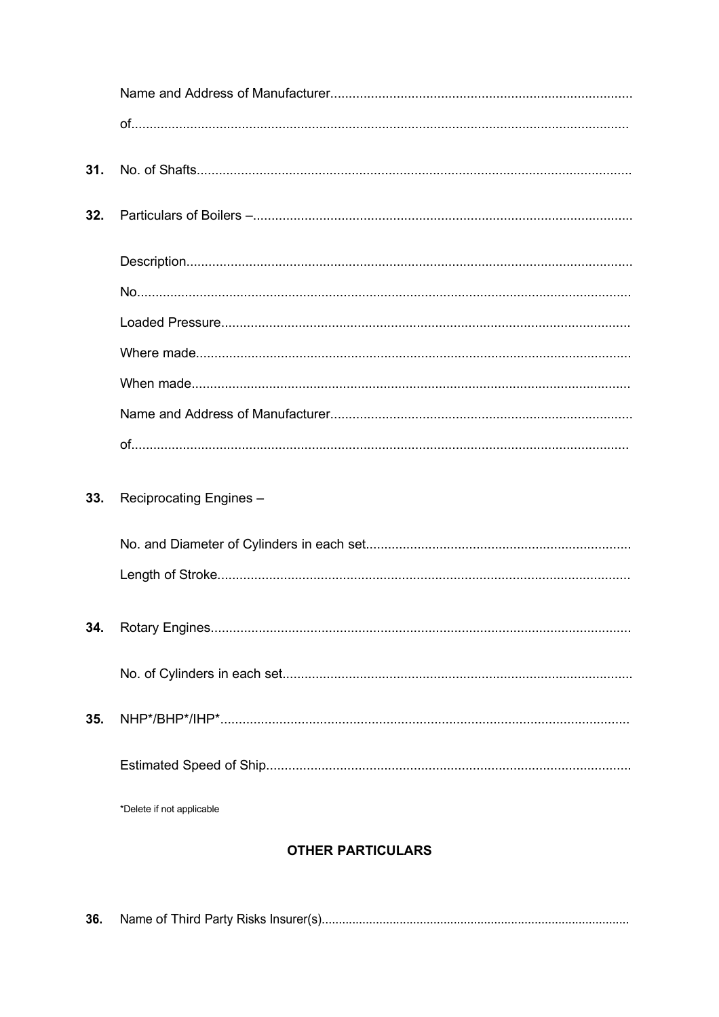| 31. |                           |
|-----|---------------------------|
| 32. |                           |
|     |                           |
|     |                           |
|     |                           |
|     |                           |
|     |                           |
|     |                           |
|     |                           |
| 33. | Reciprocating Engines -   |
|     |                           |
|     |                           |
|     |                           |
| 34. |                           |
|     |                           |
| 35. |                           |
|     |                           |
|     | *Delete if not applicable |

# **OTHER PARTICULARS**

| 36. |  |
|-----|--|
|     |  |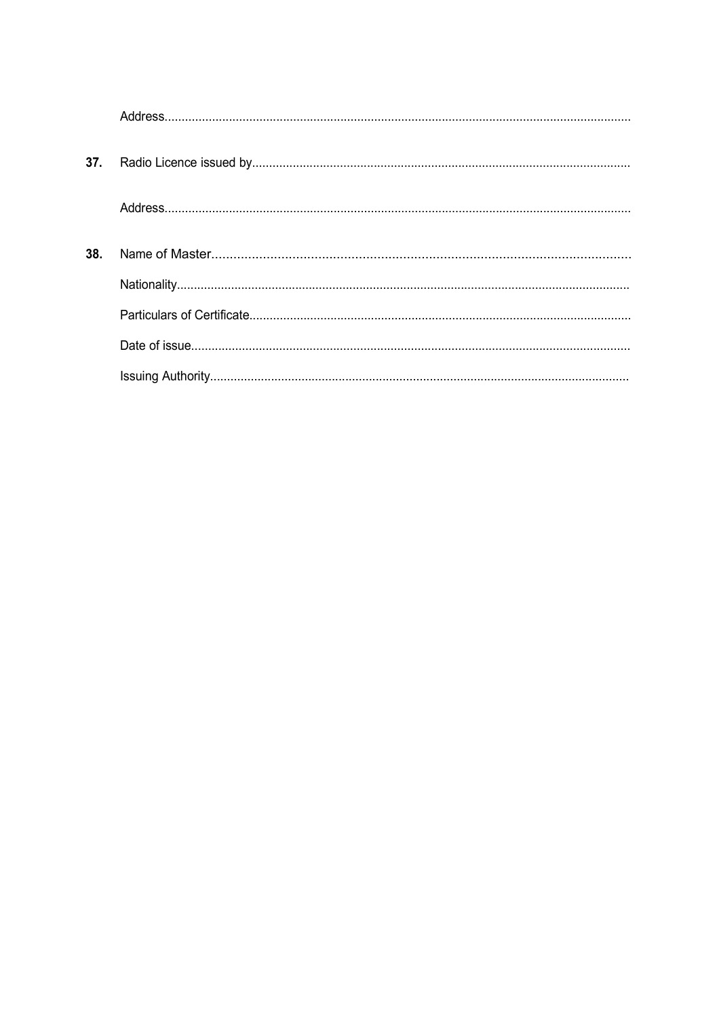| 37. |  |
|-----|--|
|     |  |
| 38. |  |
|     |  |
|     |  |
|     |  |
|     |  |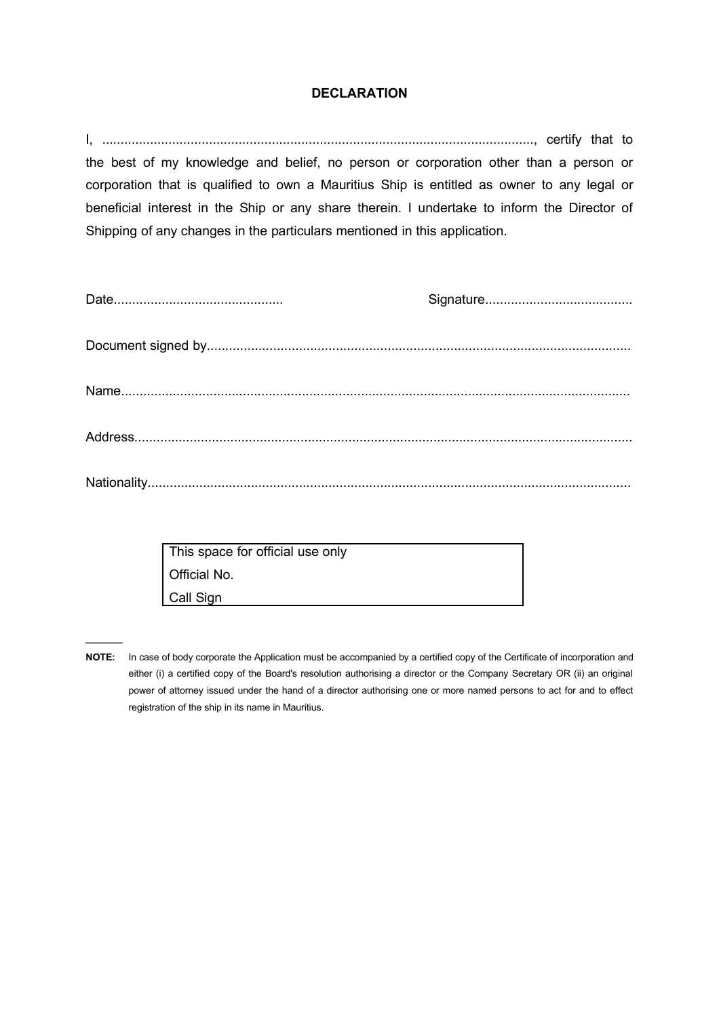#### **DECLARATION**

I, ....................................................................................................................., certify that to the best of my knowledge and belief, no person or corporation other than a person or corporation that is qualified to own a Mauritius Ship is entitled as owner to any legal or beneficial interest in the Ship or any share therein. I undertake to inform the Director of Shipping of any changes in the particulars mentioned in this application.

| This space for official use only |  |
|----------------------------------|--|
| Official No.                     |  |
| Call Sign                        |  |

 $\mathcal{L}$ 

**NOTE:** In case of body corporate the Application must be accompanied by a certified copy of the Certificate of incorporation and either (i) a certified copy of the Board's resolution authorising a director or the Company Secretary OR (ii) an original power of attorney issued under the hand of a director authorising one or more named persons to act for and to effect registration of the ship in its name in Mauritius.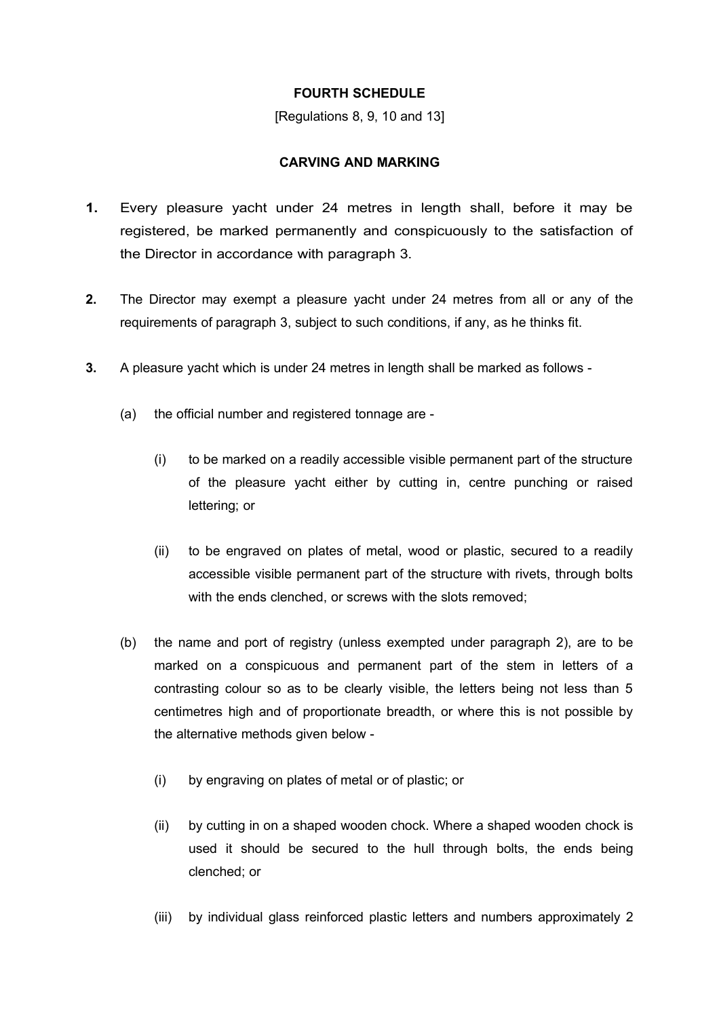#### **FOURTH SCHEDULE**

[Regulations 8, 9, 10 and 13]

#### **CARVING AND MARKING**

- **1.** Every pleasure yacht under 24 metres in length shall, before it may be registered, be marked permanently and conspicuously to the satisfaction of the Director in accordance with paragraph 3.
- **2.** The Director may exempt a pleasure yacht under 24 metres from all or any of the requirements of paragraph 3, subject to such conditions, if any, as he thinks fit.
- **3.** A pleasure yacht which is under 24 metres in length shall be marked as follows
	- (a) the official number and registered tonnage are
		- (i) to be marked on a readily accessible visible permanent part of the structure of the pleasure yacht either by cutting in, centre punching or raised lettering; or
		- (ii) to be engraved on plates of metal, wood or plastic, secured to a readily accessible visible permanent part of the structure with rivets, through bolts with the ends clenched, or screws with the slots removed:
	- (b) the name and port of registry (unless exempted under paragraph 2), are to be marked on a conspicuous and permanent part of the stem in letters of a contrasting colour so as to be clearly visible, the letters being not less than 5 centimetres high and of proportionate breadth, or where this is not possible by the alternative methods given below -
		- (i) by engraving on plates of metal or of plastic; or
		- (ii) by cutting in on a shaped wooden chock. Where a shaped wooden chock is used it should be secured to the hull through bolts, the ends being clenched; or
		- (iii) by individual glass reinforced plastic letters and numbers approximately 2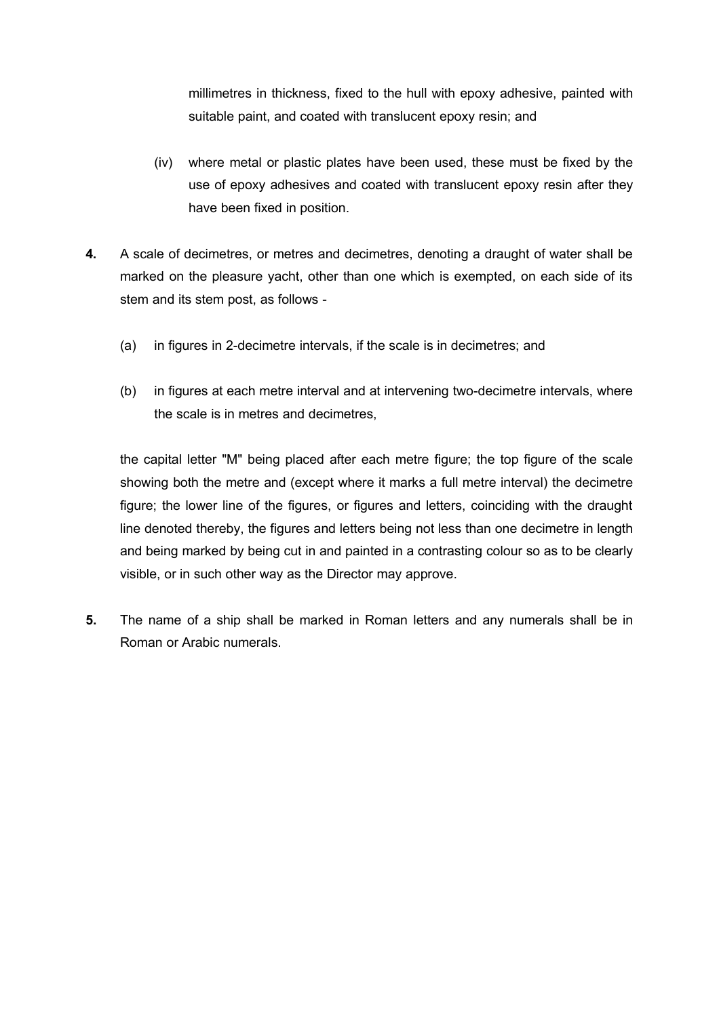millimetres in thickness, fixed to the hull with epoxy adhesive, painted with suitable paint, and coated with translucent epoxy resin; and

- (iv) where metal or plastic plates have been used, these must be fixed by the use of epoxy adhesives and coated with translucent epoxy resin after they have been fixed in position.
- **4.** A scale of decimetres, or metres and decimetres, denoting a draught of water shall be marked on the pleasure yacht, other than one which is exempted, on each side of its stem and its stem post, as follows -
	- (a) in figures in 2-decimetre intervals, if the scale is in decimetres; and
	- (b) in figures at each metre interval and at intervening two-decimetre intervals, where the scale is in metres and decimetres,

the capital letter "M" being placed after each metre figure; the top figure of the scale showing both the metre and (except where it marks a full metre interval) the decimetre figure; the lower line of the figures, or figures and letters, coinciding with the draught line denoted thereby, the figures and letters being not less than one decimetre in length and being marked by being cut in and painted in a contrasting colour so as to be clearly visible, or in such other way as the Director may approve.

**5.** The name of a ship shall be marked in Roman letters and any numerals shall be in Roman or Arabic numerals.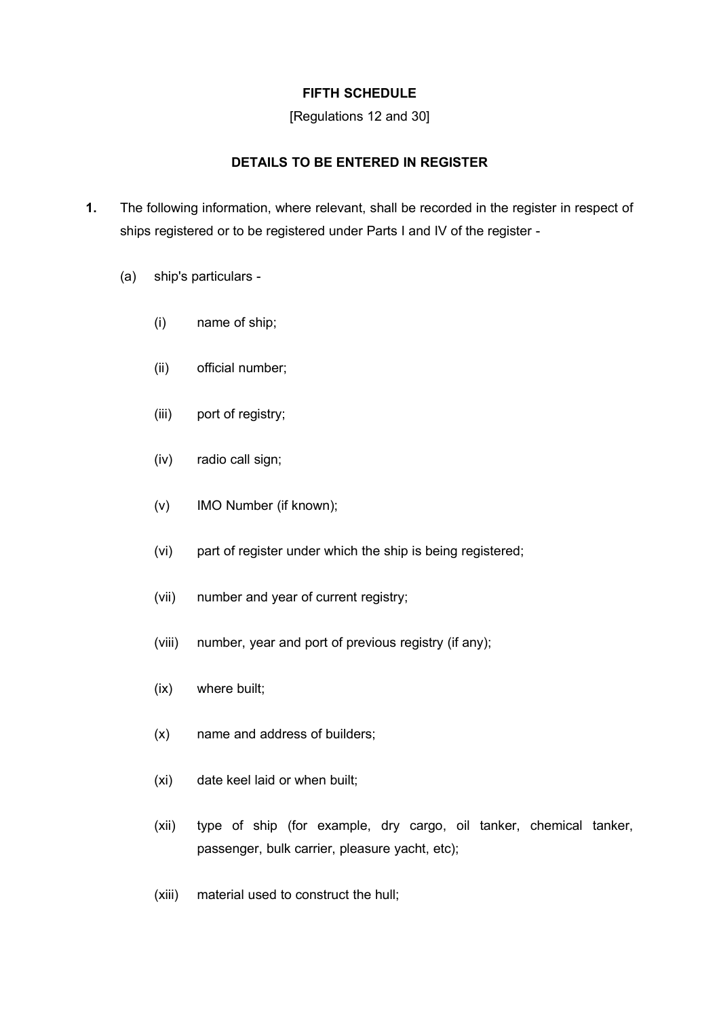# **FIFTH SCHEDULE**

#### [Regulations 12 and 30]

# **DETAILS TO BE ENTERED IN REGISTER**

- **1.** The following information, where relevant, shall be recorded in the register in respect of ships registered or to be registered under Parts I and IV of the register -
	- (a) ship's particulars
		- (i) name of ship;
		- (ii) official number;
		- (iii) port of registry;
		- (iv) radio call sign;
		- (v) IMO Number (if known);
		- (vi) part of register under which the ship is being registered;
		- (vii) number and year of current registry;
		- (viii) number, year and port of previous registry (if any);
		- (ix) where built;
		- (x) name and address of builders;
		- (xi) date keel laid or when built;
		- (xii) type of ship (for example, dry cargo, oil tanker, chemical tanker, passenger, bulk carrier, pleasure yacht, etc);
		- (xiii) material used to construct the hull;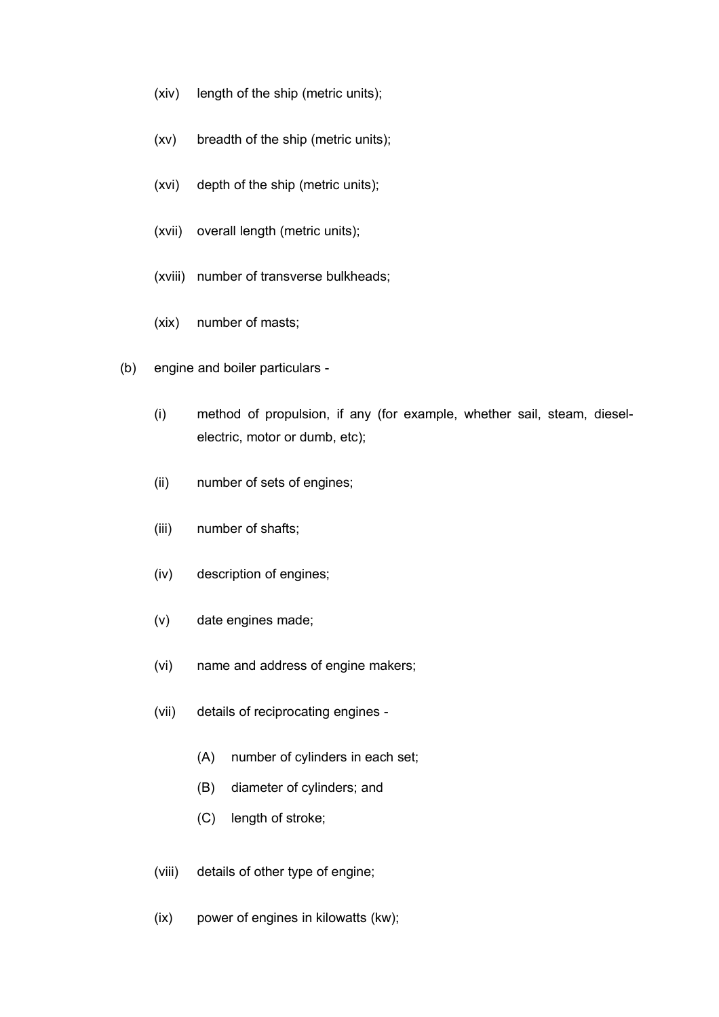- (xiv) length of the ship (metric units);
- (xv) breadth of the ship (metric units);
- (xvi) depth of the ship (metric units);
- (xvii) overall length (metric units);
- (xviii) number of transverse bulkheads;
- (xix) number of masts;
- (b) engine and boiler particulars
	- (i) method of propulsion, if any (for example, whether sail, steam, dieselelectric, motor or dumb, etc);
	- (ii) number of sets of engines;
	- (iii) number of shafts;
	- (iv) description of engines;
	- (v) date engines made;
	- (vi) name and address of engine makers;
	- (vii) details of reciprocating engines
		- (A) number of cylinders in each set;
		- (B) diameter of cylinders; and
		- (C) length of stroke;
	- (viii) details of other type of engine;
	- (ix) power of engines in kilowatts (kw);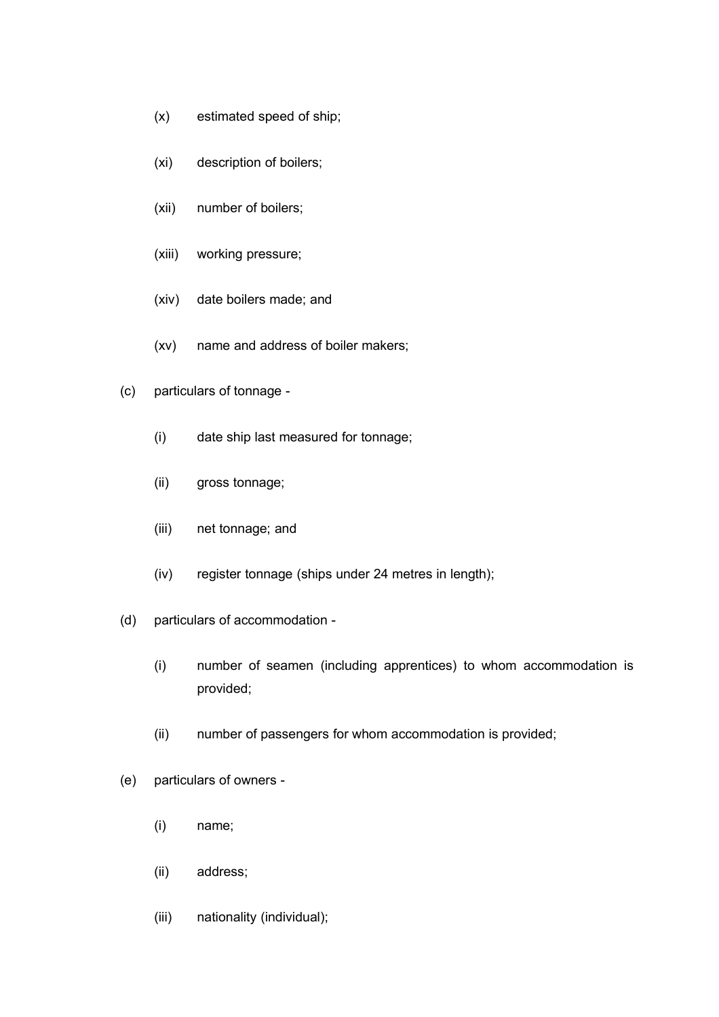- (x) estimated speed of ship;
- (xi) description of boilers;
- (xii) number of boilers;
- (xiii) working pressure;
- (xiv) date boilers made; and
- (xv) name and address of boiler makers;
- (c) particulars of tonnage
	- (i) date ship last measured for tonnage;
	- (ii) gross tonnage;
	- (iii) net tonnage; and
	- (iv) register tonnage (ships under 24 metres in length);
- (d) particulars of accommodation
	- (i) number of seamen (including apprentices) to whom accommodation is provided;
	- (ii) number of passengers for whom accommodation is provided;
- (e) particulars of owners
	- (i) name;
	- (ii) address;
	- (iii) nationality (individual);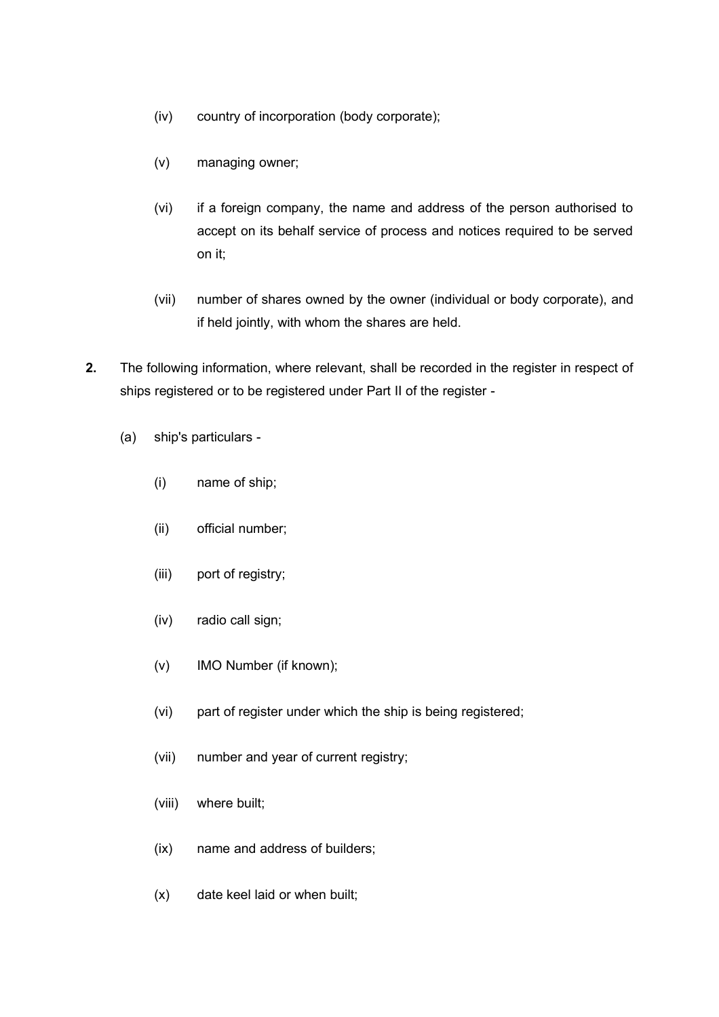- (iv) country of incorporation (body corporate);
- (v) managing owner;
- (vi) if a foreign company, the name and address of the person authorised to accept on its behalf service of process and notices required to be served on it;
- (vii) number of shares owned by the owner (individual or body corporate), and if held jointly, with whom the shares are held.
- **2.** The following information, where relevant, shall be recorded in the register in respect of ships registered or to be registered under Part II of the register -
	- (a) ship's particulars
		- (i) name of ship;
		- (ii) official number;
		- (iii) port of registry;
		- (iv) radio call sign;
		- (v) IMO Number (if known);
		- (vi) part of register under which the ship is being registered;
		- (vii) number and year of current registry;
		- (viii) where built;
		- (ix) name and address of builders;
		- (x) date keel laid or when built;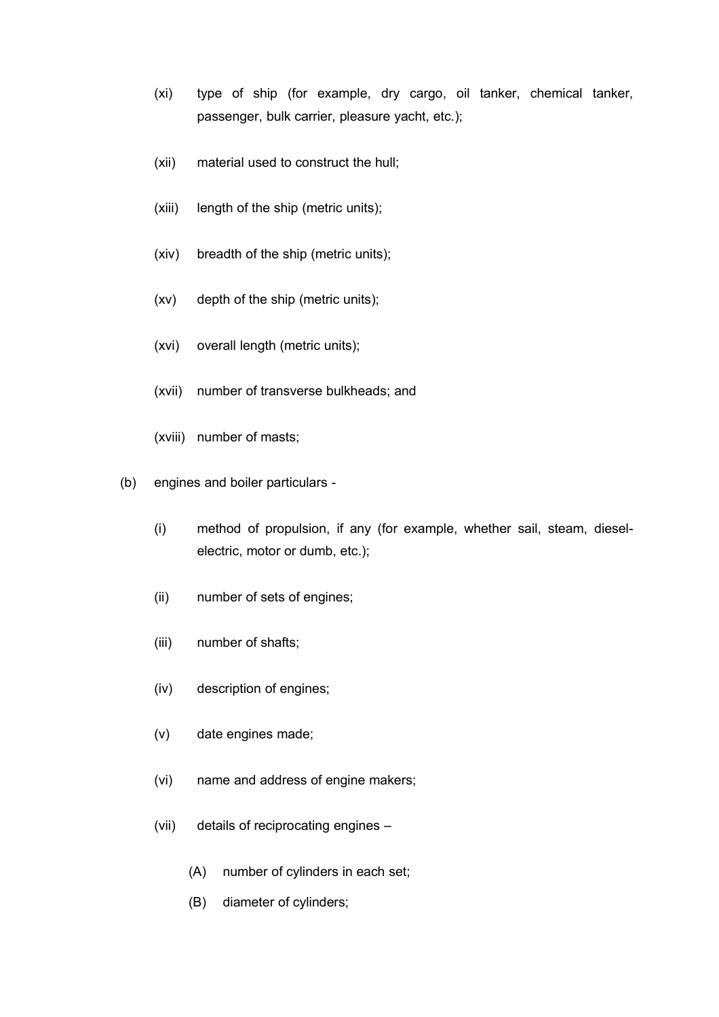- (xi) type of ship (for example, dry cargo, oil tanker, chemical tanker, passenger, bulk carrier, pleasure yacht, etc.);
- (xii) material used to construct the hull;
- (xiii) length of the ship (metric units);
- (xiv) breadth of the ship (metric units);
- (xv) depth of the ship (metric units);
- (xvi) overall length (metric units);
- (xvii) number of transverse bulkheads; and
- (xviii) number of masts;
- (b) engines and boiler particulars
	- (i) method of propulsion, if any (for example, whether sail, steam, dieselelectric, motor or dumb, etc.);
	- (ii) number of sets of engines;
	- (iii) number of shafts;
	- (iv) description of engines;
	- (v) date engines made;
	- (vi) name and address of engine makers;
	- (vii) details of reciprocating engines
		- (A) number of cylinders in each set;
		- (B) diameter of cylinders;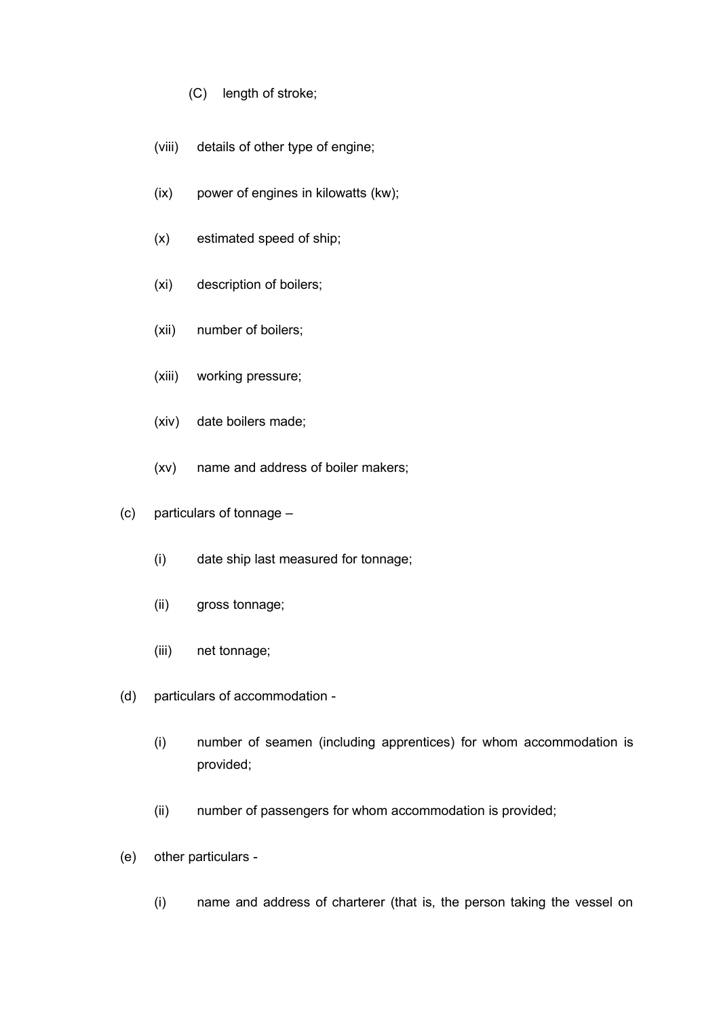- (C) length of stroke;
- (viii) details of other type of engine;
- (ix) power of engines in kilowatts (kw);
- (x) estimated speed of ship;
- (xi) description of boilers;
- (xii) number of boilers;
- (xiii) working pressure;
- (xiv) date boilers made;
- (xv) name and address of boiler makers;
- (c) particulars of tonnage
	- (i) date ship last measured for tonnage;
	- (ii) gross tonnage;
	- (iii) net tonnage;
- (d) particulars of accommodation
	- (i) number of seamen (including apprentices) for whom accommodation is provided;
	- (ii) number of passengers for whom accommodation is provided;
- (e) other particulars
	- (i) name and address of charterer (that is, the person taking the vessel on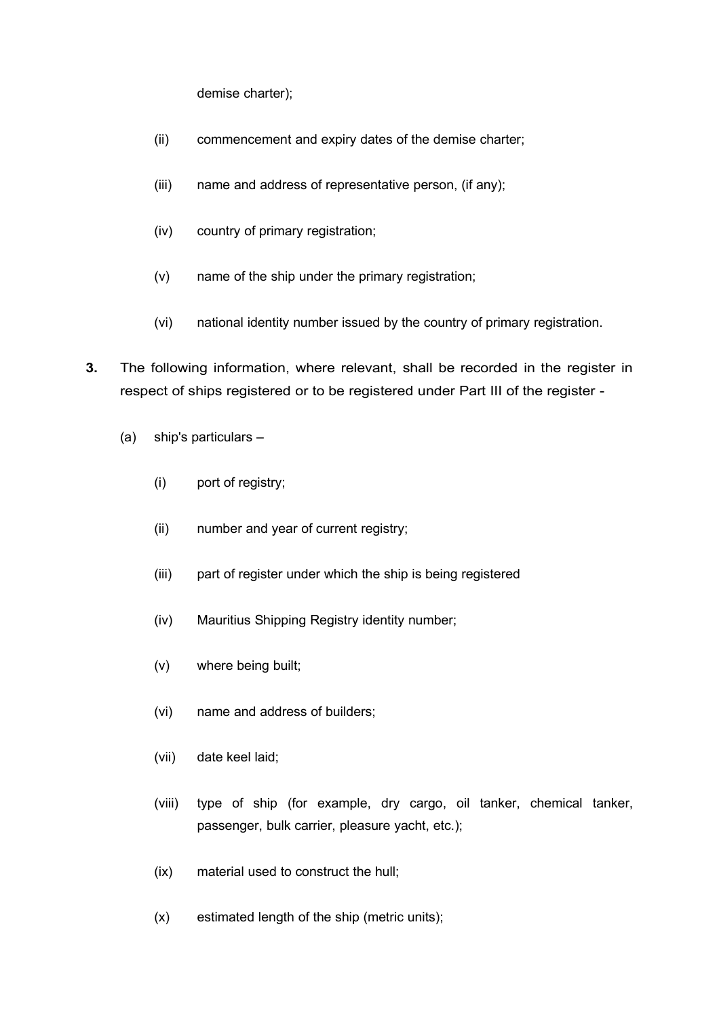demise charter);

- (ii) commencement and expiry dates of the demise charter;
- (iii) name and address of representative person, (if any);
- (iv) country of primary registration;
- (v) name of the ship under the primary registration;
- (vi) national identity number issued by the country of primary registration.
- **3.** The following information, where relevant, shall be recorded in the register in respect of ships registered or to be registered under Part III of the register -
	- (a) ship's particulars
		- (i) port of registry;
		- (ii) number and year of current registry;
		- (iii) part of register under which the ship is being registered
		- (iv) Mauritius Shipping Registry identity number;
		- (v) where being built;
		- (vi) name and address of builders;
		- (vii) date keel laid;
		- (viii) type of ship (for example, dry cargo, oil tanker, chemical tanker, passenger, bulk carrier, pleasure yacht, etc.);
		- (ix) material used to construct the hull;
		- (x) estimated length of the ship (metric units);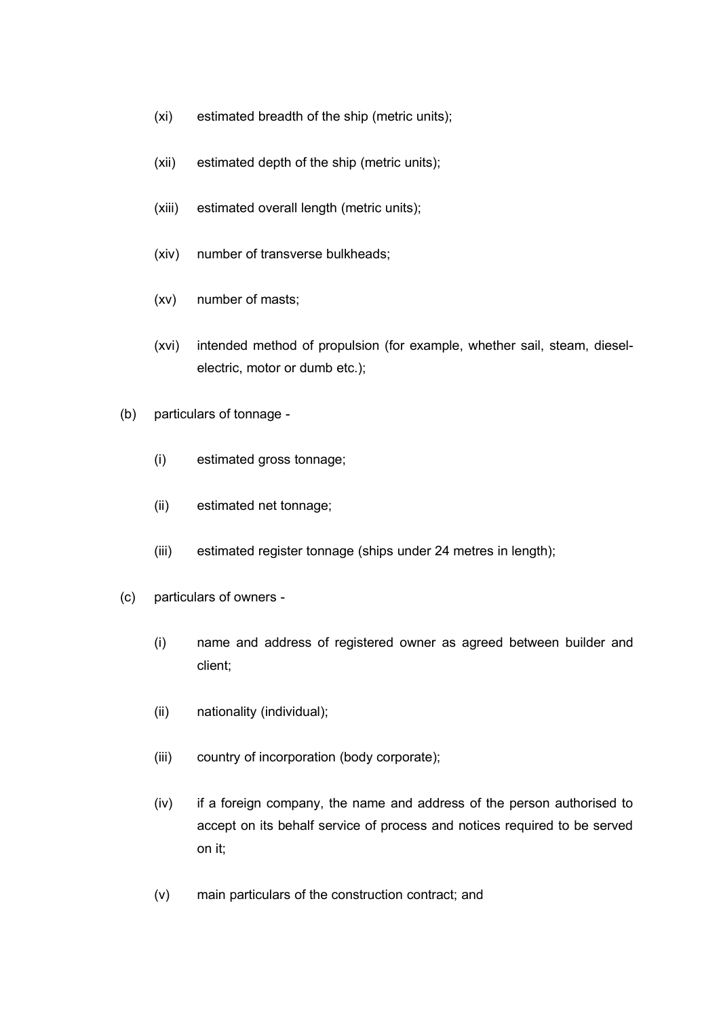- (xi) estimated breadth of the ship (metric units);
- (xii) estimated depth of the ship (metric units);
- (xiii) estimated overall length (metric units);
- (xiv) number of transverse bulkheads;
- (xv) number of masts;
- (xvi) intended method of propulsion (for example, whether sail, steam, dieselelectric, motor or dumb etc.);
- (b) particulars of tonnage
	- (i) estimated gross tonnage;
	- (ii) estimated net tonnage;
	- (iii) estimated register tonnage (ships under 24 metres in length);
- (c) particulars of owners
	- (i) name and address of registered owner as agreed between builder and client;
	- (ii) nationality (individual);
	- (iii) country of incorporation (body corporate);
	- (iv) if a foreign company, the name and address of the person authorised to accept on its behalf service of process and notices required to be served on it;
	- (v) main particulars of the construction contract; and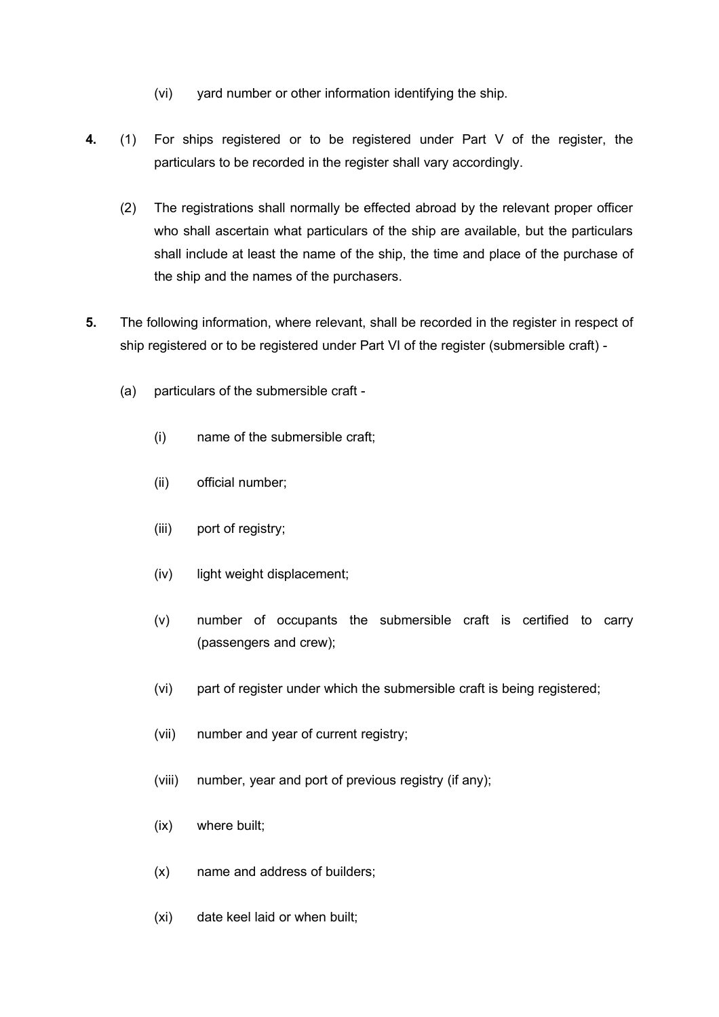- (vi) yard number or other information identifying the ship.
- **4.** (1) For ships registered or to be registered under Part V of the register, the particulars to be recorded in the register shall vary accordingly.
	- (2) The registrations shall normally be effected abroad by the relevant proper officer who shall ascertain what particulars of the ship are available, but the particulars shall include at least the name of the ship, the time and place of the purchase of the ship and the names of the purchasers.
- **5.** The following information, where relevant, shall be recorded in the register in respect of ship registered or to be registered under Part VI of the register (submersible craft) -
	- (a) particulars of the submersible craft
		- (i) name of the submersible craft;
		- (ii) official number;
		- (iii) port of registry;
		- (iv) light weight displacement;
		- (v) number of occupants the submersible craft is certified to carry (passengers and crew);
		- (vi) part of register under which the submersible craft is being registered;
		- (vii) number and year of current registry;
		- (viii) number, year and port of previous registry (if any);
		- (ix) where built;
		- (x) name and address of builders;
		- (xi) date keel laid or when built;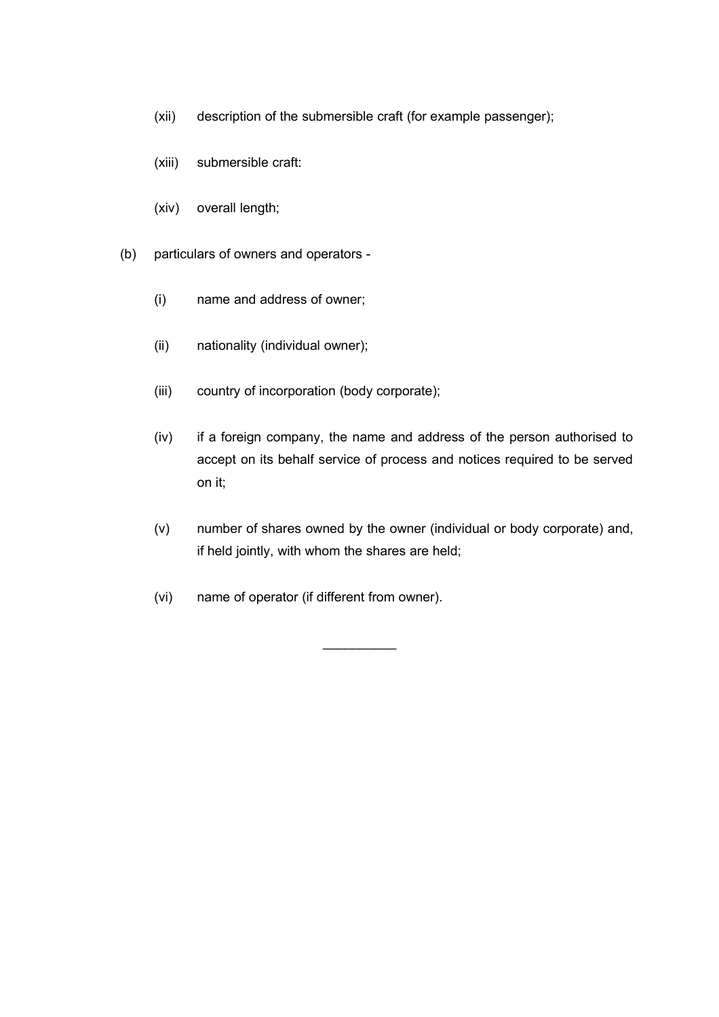- (xii) description of the submersible craft (for example passenger);
- (xiii) submersible craft:
- (xiv) overall length;
- (b) particulars of owners and operators
	- (i) name and address of owner;
	- (ii) nationality (individual owner);
	- (iii) country of incorporation (body corporate);
	- (iv) if a foreign company, the name and address of the person authorised to accept on its behalf service of process and notices required to be served on it;
	- (v) number of shares owned by the owner (individual or body corporate) and, if held jointly, with whom the shares are held;

 $\mathcal{L}_\text{max}$ 

(vi) name of operator (if different from owner).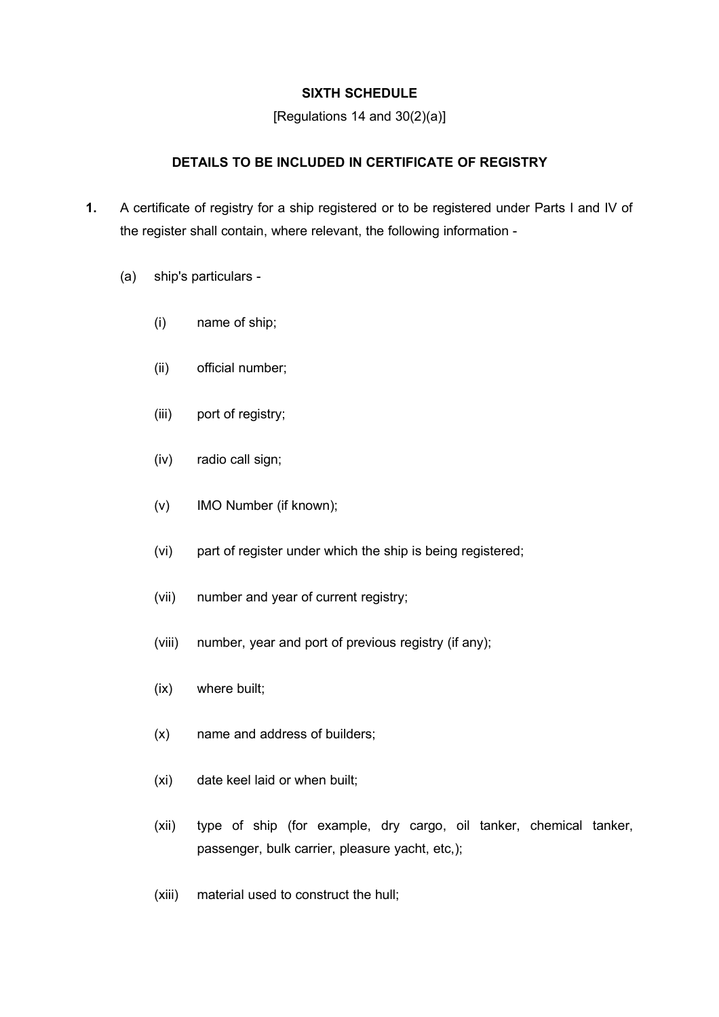# **SIXTH SCHEDULE**

[Regulations 14 and 30(2)(a)]

# **DETAILS TO BE INCLUDED IN CERTIFICATE OF REGISTRY**

- **1.** A certificate of registry for a ship registered or to be registered under Parts I and IV of the register shall contain, where relevant, the following information -
	- (a) ship's particulars
		- (i) name of ship;
		- (ii) official number;
		- (iii) port of registry;
		- (iv) radio call sign;
		- (v) IMO Number (if known);
		- (vi) part of register under which the ship is being registered;
		- (vii) number and year of current registry;
		- (viii) number, year and port of previous registry (if any);
		- (ix) where built;
		- (x) name and address of builders;
		- (xi) date keel laid or when built;
		- (xii) type of ship (for example, dry cargo, oil tanker, chemical tanker, passenger, bulk carrier, pleasure yacht, etc,);
		- (xiii) material used to construct the hull;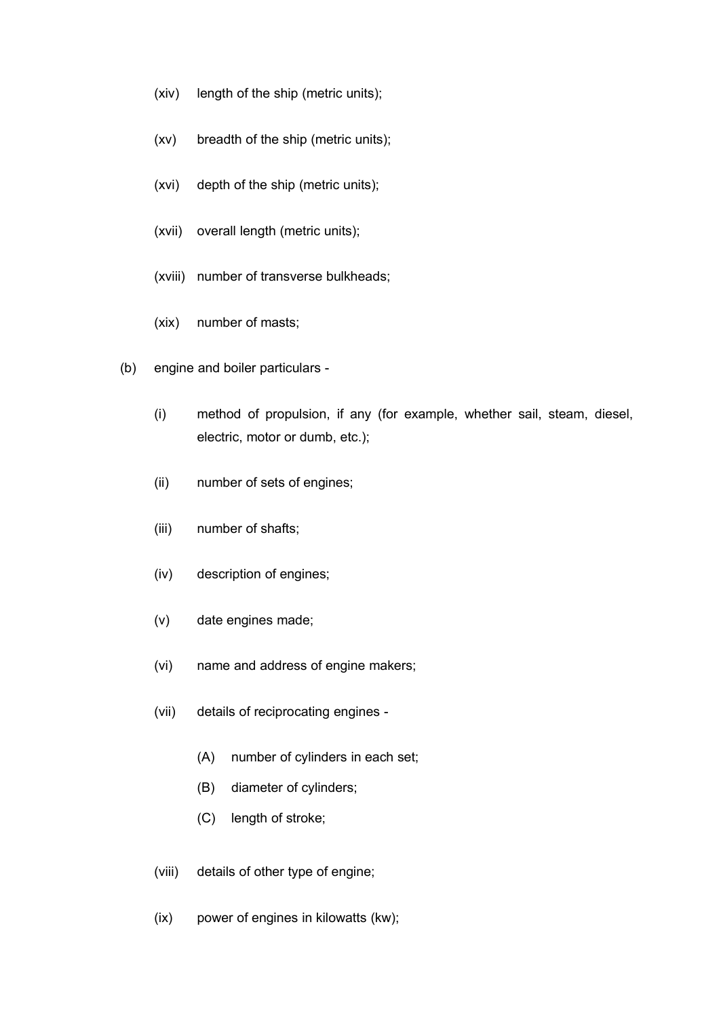- (xiv) length of the ship (metric units);
- (xv) breadth of the ship (metric units);
- (xvi) depth of the ship (metric units);
- (xvii) overall length (metric units);
- (xviii) number of transverse bulkheads;
- (xix) number of masts;
- (b) engine and boiler particulars
	- (i) method of propulsion, if any (for example, whether sail, steam, diesel, electric, motor or dumb, etc.);
	- (ii) number of sets of engines;
	- (iii) number of shafts;
	- (iv) description of engines;
	- (v) date engines made;
	- (vi) name and address of engine makers;
	- (vii) details of reciprocating engines
		- (A) number of cylinders in each set;
		- (B) diameter of cylinders;
		- (C) length of stroke;
	- (viii) details of other type of engine;
	- (ix) power of engines in kilowatts (kw);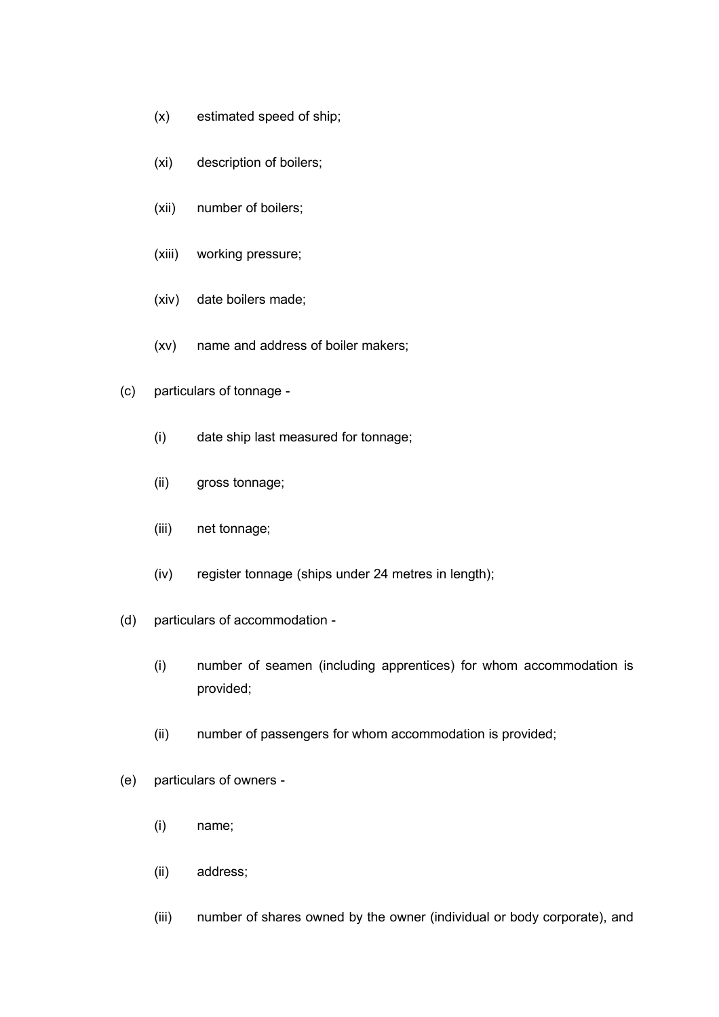- (x) estimated speed of ship;
- (xi) description of boilers;
- (xii) number of boilers;
- (xiii) working pressure;
- (xiv) date boilers made;
- (xv) name and address of boiler makers;
- (c) particulars of tonnage
	- (i) date ship last measured for tonnage;
	- (ii) gross tonnage;
	- (iii) net tonnage;
	- (iv) register tonnage (ships under 24 metres in length);
- (d) particulars of accommodation
	- (i) number of seamen (including apprentices) for whom accommodation is provided;
	- (ii) number of passengers for whom accommodation is provided;
- (e) particulars of owners
	- (i) name;
	- (ii) address;
	- (iii) number of shares owned by the owner (individual or body corporate), and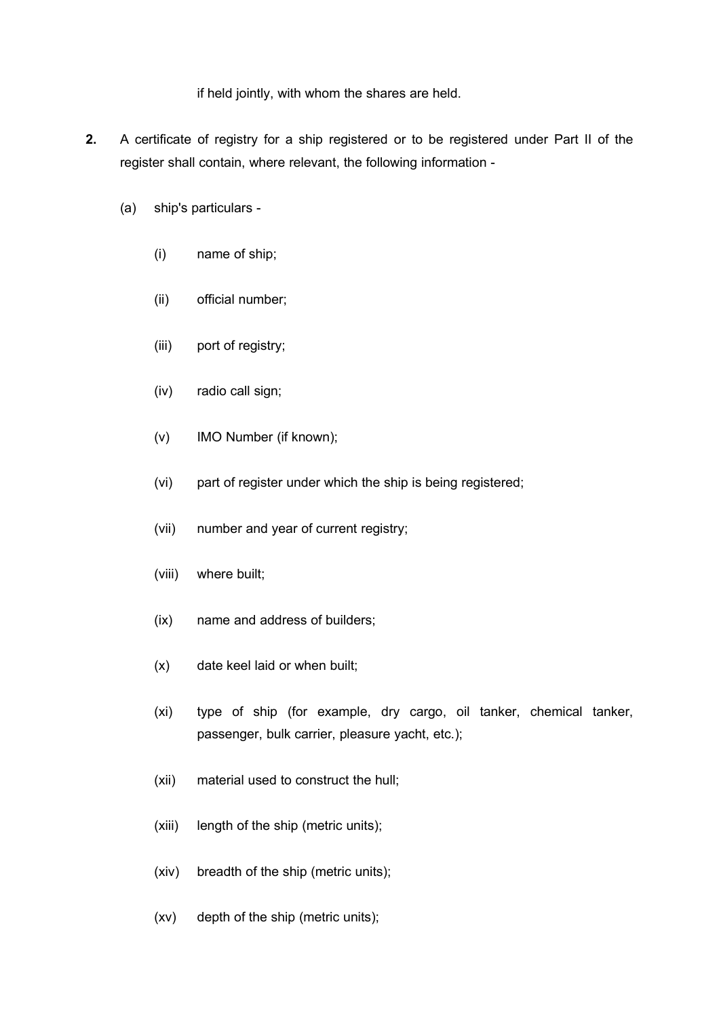if held jointly, with whom the shares are held.

- **2.** A certificate of registry for a ship registered or to be registered under Part II of the register shall contain, where relevant, the following information -
	- (a) ship's particulars
		- (i) name of ship;
		- (ii) official number;
		- (iii) port of registry;
		- (iv) radio call sign;
		- (v) IMO Number (if known);
		- (vi) part of register under which the ship is being registered;
		- (vii) number and year of current registry;
		- (viii) where built;
		- (ix) name and address of builders;
		- (x) date keel laid or when built;
		- (xi) type of ship (for example, dry cargo, oil tanker, chemical tanker, passenger, bulk carrier, pleasure yacht, etc.);
		- (xii) material used to construct the hull;
		- (xiii) length of the ship (metric units);
		- (xiv) breadth of the ship (metric units);
		- (xv) depth of the ship (metric units);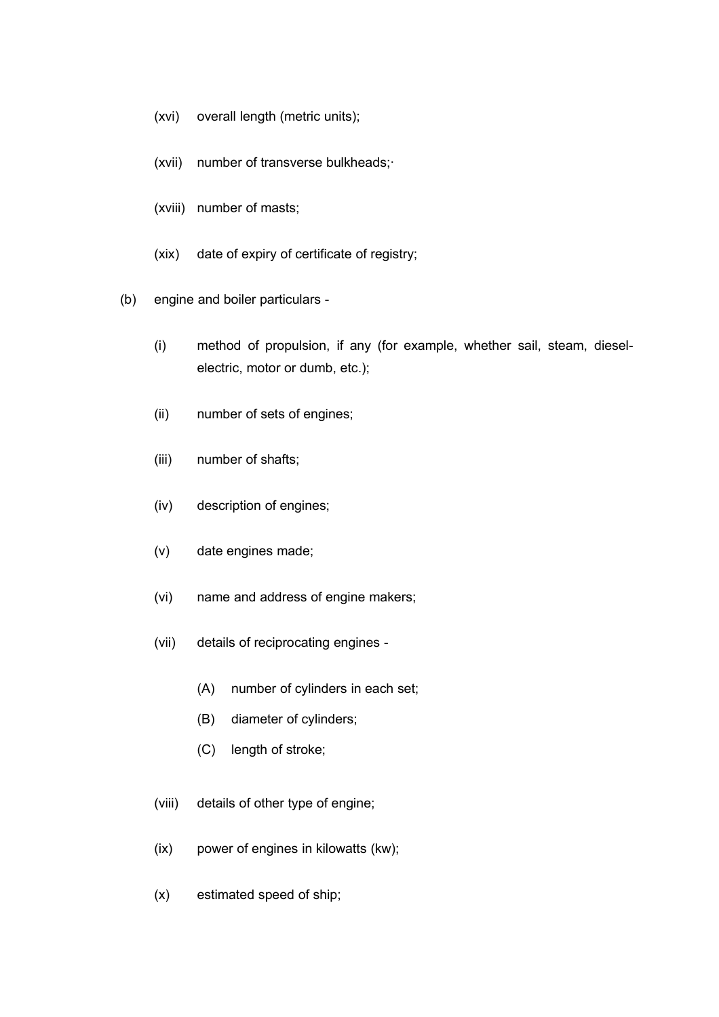- (xvi) overall length (metric units);
- (xvii) number of transverse bulkheads;·
- (xviii) number of masts;
- (xix) date of expiry of certificate of registry;
- (b) engine and boiler particulars
	- (i) method of propulsion, if any (for example, whether sail, steam, dieselelectric, motor or dumb, etc.);
	- (ii) number of sets of engines;
	- (iii) number of shafts;
	- (iv) description of engines;
	- (v) date engines made;
	- (vi) name and address of engine makers;
	- (vii) details of reciprocating engines
		- (A) number of cylinders in each set;
		- (B) diameter of cylinders;
		- (C) length of stroke;
	- (viii) details of other type of engine;
	- (ix) power of engines in kilowatts (kw);
	- (x) estimated speed of ship;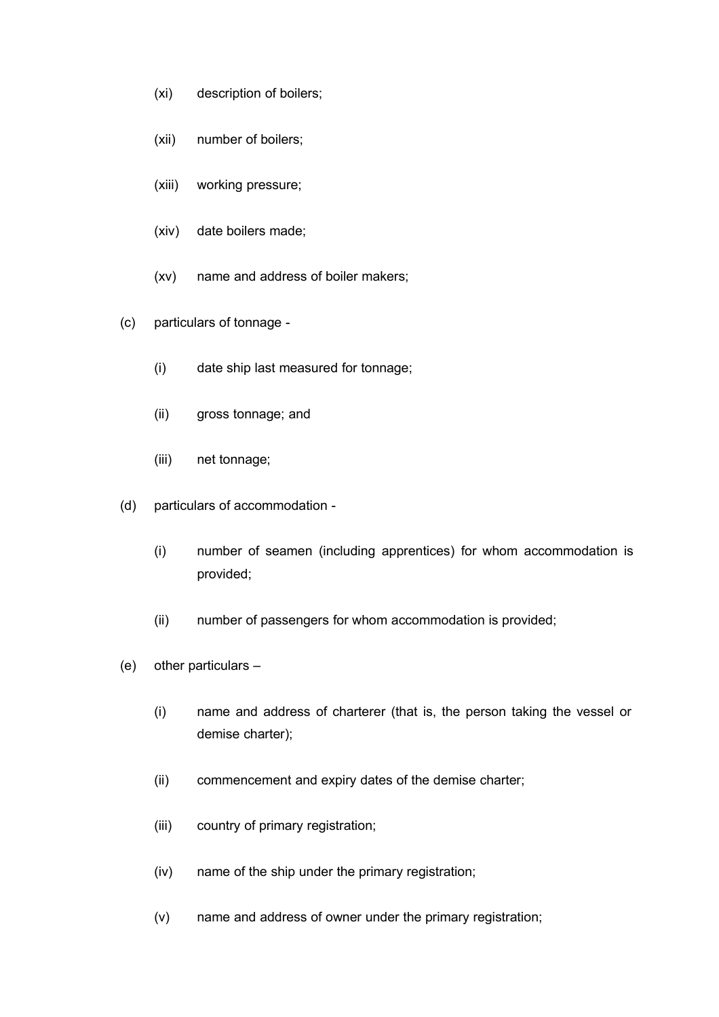- (xi) description of boilers;
- (xii) number of boilers;
- (xiii) working pressure;
- (xiv) date boilers made;
- (xv) name and address of boiler makers;
- (c) particulars of tonnage
	- (i) date ship last measured for tonnage;
	- (ii) gross tonnage; and
	- (iii) net tonnage;
- (d) particulars of accommodation
	- (i) number of seamen (including apprentices) for whom accommodation is provided;
	- (ii) number of passengers for whom accommodation is provided;
- (e) other particulars
	- (i) name and address of charterer (that is, the person taking the vessel or demise charter);
	- (ii) commencement and expiry dates of the demise charter;
	- (iii) country of primary registration;
	- (iv) name of the ship under the primary registration;
	- (v) name and address of owner under the primary registration;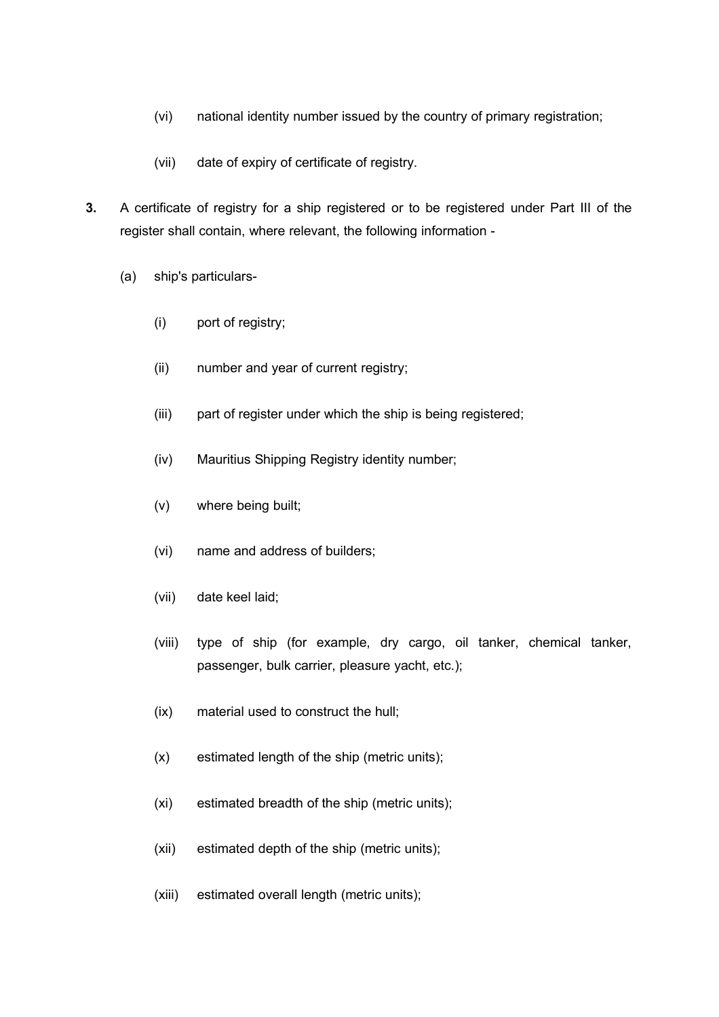- (vi) national identity number issued by the country of primary registration;
- (vii) date of expiry of certificate of registry.
- **3.** A certificate of registry for a ship registered or to be registered under Part III of the register shall contain, where relevant, the following information -
	- (a) ship's particulars-
		- (i) port of registry;
		- (ii) number and year of current registry;
		- (iii) part of register under which the ship is being registered;
		- (iv) Mauritius Shipping Registry identity number;
		- (v) where being built;
		- (vi) name and address of builders;
		- (vii) date keel laid;
		- (viii) type of ship (for example, dry cargo, oil tanker, chemical tanker, passenger, bulk carrier, pleasure yacht, etc.);
		- (ix) material used to construct the hull;
		- (x) estimated length of the ship (metric units);
		- (xi) estimated breadth of the ship (metric units);
		- (xii) estimated depth of the ship (metric units);
		- (xiii) estimated overall length (metric units);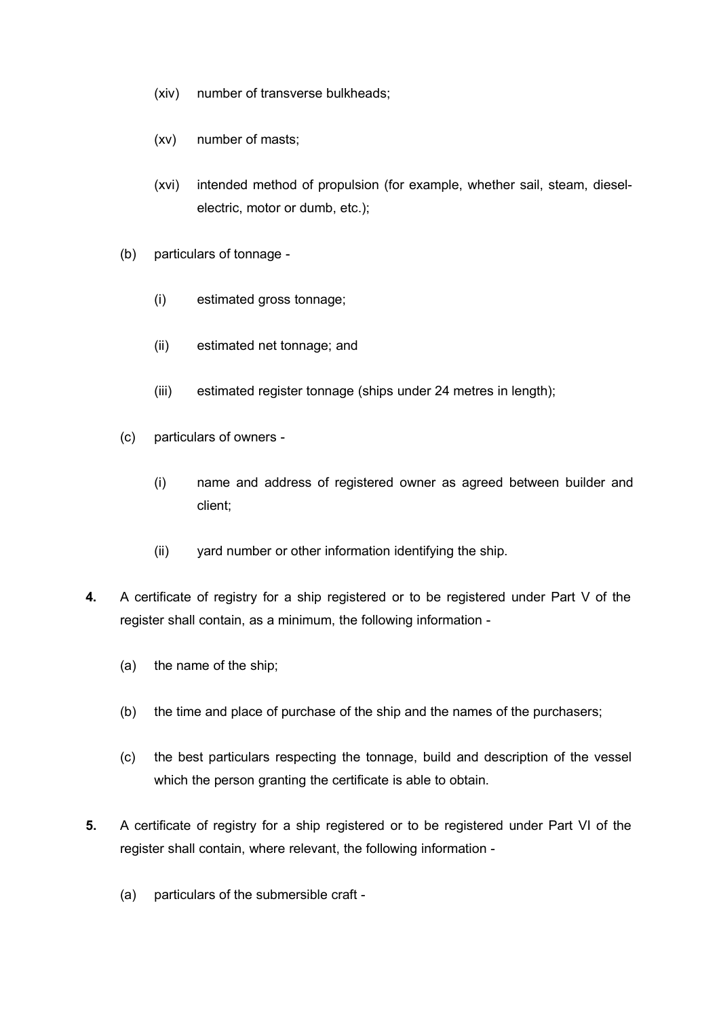- (xiv) number of transverse bulkheads;
- (xv) number of masts;
- (xvi) intended method of propulsion (for example, whether sail, steam, dieselelectric, motor or dumb, etc.);
- (b) particulars of tonnage
	- (i) estimated gross tonnage;
	- (ii) estimated net tonnage; and
	- (iii) estimated register tonnage (ships under 24 metres in length);
- (c) particulars of owners
	- (i) name and address of registered owner as agreed between builder and client;
	- (ii) yard number or other information identifying the ship.
- **4.** A certificate of registry for a ship registered or to be registered under Part V of the register shall contain, as a minimum, the following information -
	- (a) the name of the ship;
	- (b) the time and place of purchase of the ship and the names of the purchasers;
	- (c) the best particulars respecting the tonnage, build and description of the vessel which the person granting the certificate is able to obtain.
- **5.** A certificate of registry for a ship registered or to be registered under Part VI of the register shall contain, where relevant, the following information -
	- (a) particulars of the submersible craft -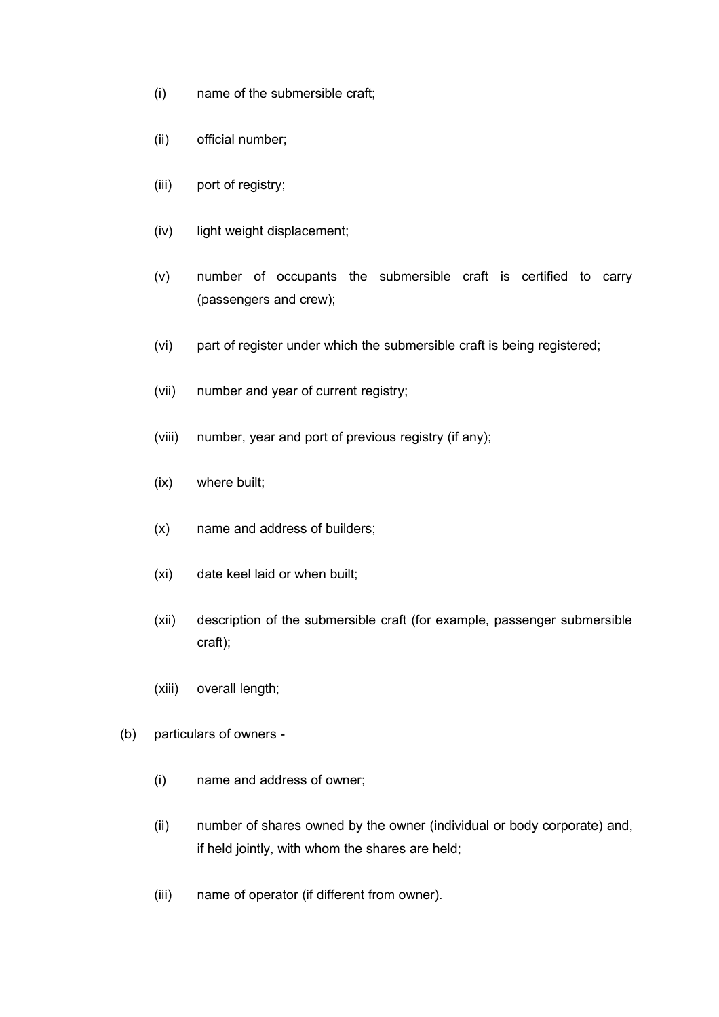- (i) name of the submersible craft;
- (ii) official number;
- (iii) port of registry;
- (iv) light weight displacement;
- (v) number of occupants the submersible craft is certified to carry (passengers and crew);
- (vi) part of register under which the submersible craft is being registered;
- (vii) number and year of current registry;
- (viii) number, year and port of previous registry (if any);
- (ix) where built;
- (x) name and address of builders;
- (xi) date keel laid or when built;
- (xii) description of the submersible craft (for example, passenger submersible craft);
- (xiii) overall length;
- (b) particulars of owners
	- (i) name and address of owner;
	- (ii) number of shares owned by the owner (individual or body corporate) and, if held jointly, with whom the shares are held;
	- (iii) name of operator (if different from owner).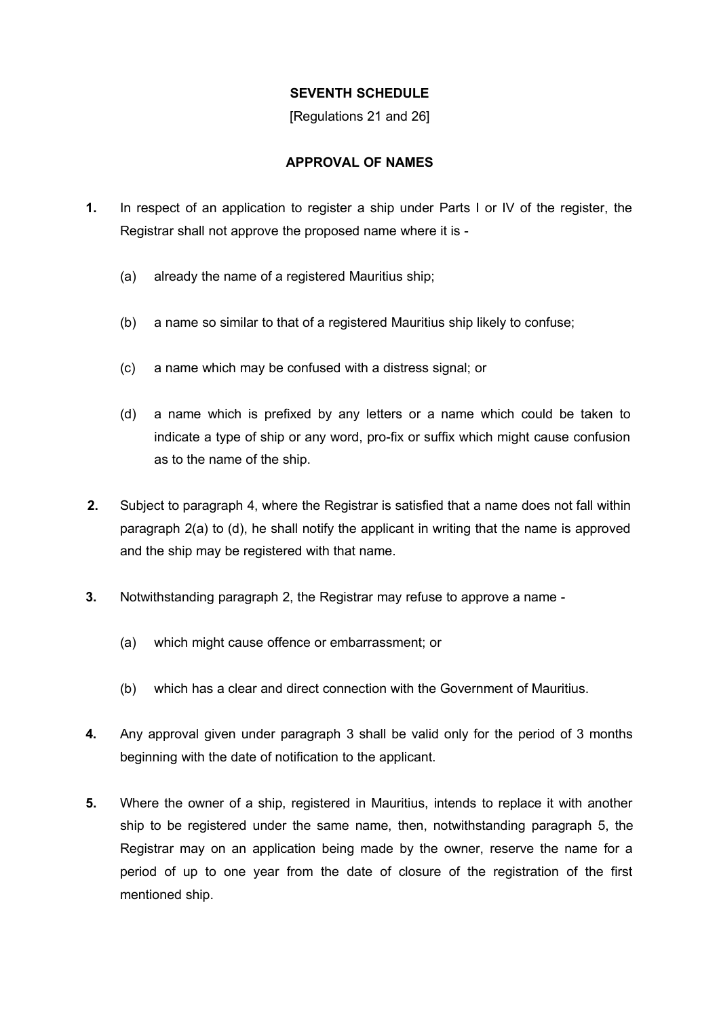### **SEVENTH SCHEDULE**

[Regulations 21 and 26]

# **APPROVAL OF NAMES**

- **1.** In respect of an application to register a ship under Parts I or IV of the register, the Registrar shall not approve the proposed name where it is -
	- (a) already the name of a registered Mauritius ship;
	- (b) a name so similar to that of a registered Mauritius ship likely to confuse;
	- (c) a name which may be confused with a distress signal; or
	- (d) a name which is prefixed by any letters or a name which could be taken to indicate a type of ship or any word, pro-fix or suffix which might cause confusion as to the name of the ship.
- **2.** Subject to paragraph 4, where the Registrar is satisfied that a name does not fall within paragraph 2(a) to (d), he shall notify the applicant in writing that the name is approved and the ship may be registered with that name.
- **3.** Notwithstanding paragraph 2, the Registrar may refuse to approve a name
	- (a) which might cause offence or embarrassment; or
	- (b) which has a clear and direct connection with the Government of Mauritius.
- **4.** Any approval given under paragraph 3 shall be valid only for the period of 3 months beginning with the date of notification to the applicant.
- **5.** Where the owner of a ship, registered in Mauritius, intends to replace it with another ship to be registered under the same name, then, notwithstanding paragraph 5, the Registrar may on an application being made by the owner, reserve the name for a period of up to one year from the date of closure of the registration of the first mentioned ship.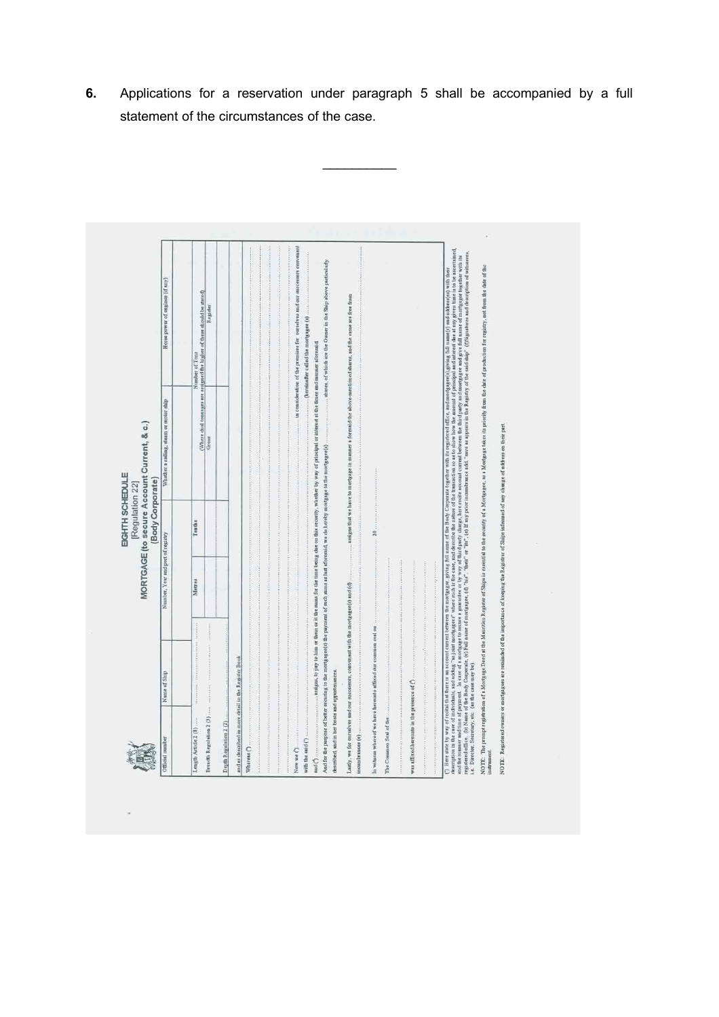| description in the case of individuals, and adding, "whold mortgagest" where who has the case, and describe the manufor the tunnardous to set on the show the amount of principal and interest due of any given time is to be<br>regidered office, (b) Name of the Body Corporate, (c) Full name of motigages, (d) "his!", "their" or "lis", (c) If any prior incumbrance add, "ave as argenra in a Registry of the raid shalp"" (f)Signatures and description<br>and the annume and time of grand. In case of a motigage to secure a guarantee or by way of third party charge, here recite account current between the third party and more goes and give full mane of morgage together with t<br>communications, of which are the Owner in the Ship above particularly<br>NOTE: The proupt region and a Mortgage Deed at the Mauritius Register of SMips is essential to the security of a Mortgageet, as a Mortgage takes its priorily from the of prochiclen for registry, not from the dete of the<br>(*) Here state by way of reclui that there is a not match between the more general states of the Body Corporate together with in registered office, and more generally and ackbessed) with their<br>Where dual tonnages are assigned the higher of these should be stated)<br>assigns that we have to mortgage in manner a foresaid the above-mentioned shares, and the same are free from<br>Register<br>(hereinafter called the mortgagee (s)<br>Number of Tons<br>NOTE: Registered owners or mortgagees are reminded of the importance of keeping the Registrar of Ships informed of any change of achress on their part.<br>Grous<br>And for the purpose of better securing to the mortgagee(s) the payment of such sums as hast aforesaid, we do hereby mortgage to the mortgagee(s)<br>or considerably a series of the construction<br>Tenths<br>20<br>Number, Year and port of registry<br>Metres<br>Lastly, we for ourselves and our successors, convenant with the mortgagee(s) and (d)<br>In witness whereof we have hereunto affixed our common seal on<br>555.131.000 A 574.000 A 64.000 A<br>and as described in more detail in the Register Book<br>i.e. Director, Secretary, etc. (as the case may be)<br>described, and in her boats and appurtenances<br>was affixed here<br>unto in the presence of $\langle \cdot \rangle$<br>$+14.554414441111$<br>Breadth Regulation 2 (3)<br>The Common Seal of the<br>Length Article 2 (8)<br>$1.3 \pm 0.6 \pm 0.6 \pm 0.6 \pm 0.1 \pm 0.1 \pm 0.4 \pm 0.1 \pm 0.1 \pm 0.3 \pm 0.4 \pm 0.4 \pm 0.4 \pm 0.4 \pm 0.4 \pm 0.4 \pm 0.4 \pm 0.4 \pm 0.4 \pm 0.4 \pm 0.4 \pm 0.4 \pm 0.4 \pm 0.4 \pm 0.4 \pm 0.4 \pm 0.4 \pm 0.4 \pm 0.4 \pm 0.4 \pm 0.4 \pm 0.4 \pm 0.4 \pm 0.4 \pm 0.4 \pm 0.4 \pm 0.4 \$<br>Depth Regulation 2 (2)<br>incumbrances (e)<br>mach<br>with the said (') | Official number |              | EIGHTH SCHEDULE<br>(Body Corporate)<br>[Regulation 22] | MORTGAGE (to secure Account Current, & c.) |                                                                             |
|-----------------------------------------------------------------------------------------------------------------------------------------------------------------------------------------------------------------------------------------------------------------------------------------------------------------------------------------------------------------------------------------------------------------------------------------------------------------------------------------------------------------------------------------------------------------------------------------------------------------------------------------------------------------------------------------------------------------------------------------------------------------------------------------------------------------------------------------------------------------------------------------------------------------------------------------------------------------------------------------------------------------------------------------------------------------------------------------------------------------------------------------------------------------------------------------------------------------------------------------------------------------------------------------------------------------------------------------------------------------------------------------------------------------------------------------------------------------------------------------------------------------------------------------------------------------------------------------------------------------------------------------------------------------------------------------------------------------------------------------------------------------------------------------------------------------------------------------------------------------------------------------------------------------------------------------------------------------------------------------------------------------------------------------------------------------------------------------------------------------------------------------------------------------------------------------------------------------------------------------------------------------------------------------------------------------------------------------------------------------------------------------------------------------------------------------------------------------------------------------------------------------------------------------------------------------------------------------------------------------------------------------------------------------------------------------------------------------------------------------------------------------------------------------------------------------------------------------------------|-----------------|--------------|--------------------------------------------------------|--------------------------------------------|-----------------------------------------------------------------------------|
|                                                                                                                                                                                                                                                                                                                                                                                                                                                                                                                                                                                                                                                                                                                                                                                                                                                                                                                                                                                                                                                                                                                                                                                                                                                                                                                                                                                                                                                                                                                                                                                                                                                                                                                                                                                                                                                                                                                                                                                                                                                                                                                                                                                                                                                                                                                                                                                                                                                                                                                                                                                                                                                                                                                                                                                                                                                     |                 | Name of Ship |                                                        | Whether a sailing, steam or motor ship     | Horse power of engines (if any)                                             |
|                                                                                                                                                                                                                                                                                                                                                                                                                                                                                                                                                                                                                                                                                                                                                                                                                                                                                                                                                                                                                                                                                                                                                                                                                                                                                                                                                                                                                                                                                                                                                                                                                                                                                                                                                                                                                                                                                                                                                                                                                                                                                                                                                                                                                                                                                                                                                                                                                                                                                                                                                                                                                                                                                                                                                                                                                                                     |                 |              |                                                        |                                            |                                                                             |
|                                                                                                                                                                                                                                                                                                                                                                                                                                                                                                                                                                                                                                                                                                                                                                                                                                                                                                                                                                                                                                                                                                                                                                                                                                                                                                                                                                                                                                                                                                                                                                                                                                                                                                                                                                                                                                                                                                                                                                                                                                                                                                                                                                                                                                                                                                                                                                                                                                                                                                                                                                                                                                                                                                                                                                                                                                                     |                 |              |                                                        |                                            |                                                                             |
|                                                                                                                                                                                                                                                                                                                                                                                                                                                                                                                                                                                                                                                                                                                                                                                                                                                                                                                                                                                                                                                                                                                                                                                                                                                                                                                                                                                                                                                                                                                                                                                                                                                                                                                                                                                                                                                                                                                                                                                                                                                                                                                                                                                                                                                                                                                                                                                                                                                                                                                                                                                                                                                                                                                                                                                                                                                     |                 |              |                                                        |                                            |                                                                             |
|                                                                                                                                                                                                                                                                                                                                                                                                                                                                                                                                                                                                                                                                                                                                                                                                                                                                                                                                                                                                                                                                                                                                                                                                                                                                                                                                                                                                                                                                                                                                                                                                                                                                                                                                                                                                                                                                                                                                                                                                                                                                                                                                                                                                                                                                                                                                                                                                                                                                                                                                                                                                                                                                                                                                                                                                                                                     |                 |              |                                                        |                                            | in consideration of the premises for ourselves and our successors convenant |
|                                                                                                                                                                                                                                                                                                                                                                                                                                                                                                                                                                                                                                                                                                                                                                                                                                                                                                                                                                                                                                                                                                                                                                                                                                                                                                                                                                                                                                                                                                                                                                                                                                                                                                                                                                                                                                                                                                                                                                                                                                                                                                                                                                                                                                                                                                                                                                                                                                                                                                                                                                                                                                                                                                                                                                                                                                                     |                 |              |                                                        |                                            |                                                                             |
|                                                                                                                                                                                                                                                                                                                                                                                                                                                                                                                                                                                                                                                                                                                                                                                                                                                                                                                                                                                                                                                                                                                                                                                                                                                                                                                                                                                                                                                                                                                                                                                                                                                                                                                                                                                                                                                                                                                                                                                                                                                                                                                                                                                                                                                                                                                                                                                                                                                                                                                                                                                                                                                                                                                                                                                                                                                     |                 |              |                                                        |                                            |                                                                             |
|                                                                                                                                                                                                                                                                                                                                                                                                                                                                                                                                                                                                                                                                                                                                                                                                                                                                                                                                                                                                                                                                                                                                                                                                                                                                                                                                                                                                                                                                                                                                                                                                                                                                                                                                                                                                                                                                                                                                                                                                                                                                                                                                                                                                                                                                                                                                                                                                                                                                                                                                                                                                                                                                                                                                                                                                                                                     |                 |              |                                                        |                                            |                                                                             |
|                                                                                                                                                                                                                                                                                                                                                                                                                                                                                                                                                                                                                                                                                                                                                                                                                                                                                                                                                                                                                                                                                                                                                                                                                                                                                                                                                                                                                                                                                                                                                                                                                                                                                                                                                                                                                                                                                                                                                                                                                                                                                                                                                                                                                                                                                                                                                                                                                                                                                                                                                                                                                                                                                                                                                                                                                                                     |                 |              |                                                        |                                            |                                                                             |
|                                                                                                                                                                                                                                                                                                                                                                                                                                                                                                                                                                                                                                                                                                                                                                                                                                                                                                                                                                                                                                                                                                                                                                                                                                                                                                                                                                                                                                                                                                                                                                                                                                                                                                                                                                                                                                                                                                                                                                                                                                                                                                                                                                                                                                                                                                                                                                                                                                                                                                                                                                                                                                                                                                                                                                                                                                                     |                 |              |                                                        |                                            |                                                                             |
|                                                                                                                                                                                                                                                                                                                                                                                                                                                                                                                                                                                                                                                                                                                                                                                                                                                                                                                                                                                                                                                                                                                                                                                                                                                                                                                                                                                                                                                                                                                                                                                                                                                                                                                                                                                                                                                                                                                                                                                                                                                                                                                                                                                                                                                                                                                                                                                                                                                                                                                                                                                                                                                                                                                                                                                                                                                     |                 |              |                                                        |                                            |                                                                             |

**6.** Applications for a reservation under paragraph 5 shall be accompanied by a full statement of the circumstances of the case.

 $\mathcal{L}$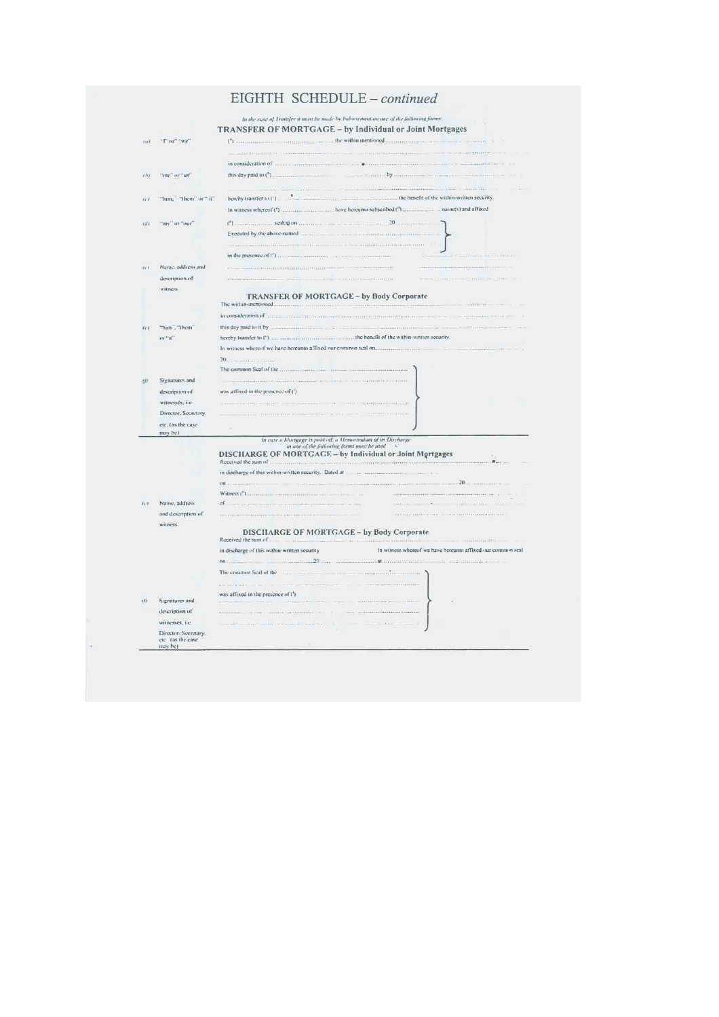# EIGHTH SCHEDULE - continued

| tez)    | "I" or" "we"                             | the within mentioned                                                                                                            |
|---------|------------------------------------------|---------------------------------------------------------------------------------------------------------------------------------|
|         |                                          |                                                                                                                                 |
|         |                                          | in consideration of                                                                                                             |
| 'i hi   | "nie" or "us"                            | this day paid to (")<br>2.1.1.1.1.1. by                                                                                         |
|         |                                          |                                                                                                                                 |
|         |                                          | <b>Material Association Control</b>                                                                                             |
| ii)     | "him," "them" or " it"                   | the benefit of the within-written security.<br>hereby transfer to (1)<br>.                                                      |
|         |                                          |                                                                                                                                 |
| reli    | "my" or "our"                            | (*) 20 minutes scales) on minutes and the common 20 minutes on                                                                  |
|         |                                          | Executed by the above-named<br><u> 1999 - Johann Johann Johann I</u>                                                            |
|         |                                          | <b>UT ANY ANY REAR ISSUED AT LCCC.</b>                                                                                          |
|         |                                          |                                                                                                                                 |
| $i - i$ | Name, address and                        |                                                                                                                                 |
|         | description of                           |                                                                                                                                 |
|         | witness.                                 |                                                                                                                                 |
|         |                                          | TRANSFER OF MORTGAGE - by Body Corporate                                                                                        |
|         |                                          | in consideration of                                                                                                             |
| 12.1    | "him", "them"                            |                                                                                                                                 |
|         | or "it"                                  | the benefit of the within-written security.<br>hereby transfer to (')                                                           |
|         |                                          |                                                                                                                                 |
|         |                                          |                                                                                                                                 |
|         |                                          |                                                                                                                                 |
| $($ f   | Signatures and                           | <b>September 1980</b>                                                                                                           |
|         | description of                           | was affixed in the presence of (')                                                                                              |
|         | witnesses, i.e.                          |                                                                                                                                 |
|         | Director, Secretary,                     |                                                                                                                                 |
|         | etc. (as the case                        |                                                                                                                                 |
|         | may be).                                 |                                                                                                                                 |
|         |                                          | In cuse a Mortgage is paid off, a Memorandum of its Discharge<br>in one of the fallowing forms must be used                     |
|         |                                          | DISCHARGE OF MORTGAGE - by Individual or Joint Mortgages<br>Received the sum of management<br>身.                                |
|         |                                          | in discharge of this within-written security. Dated at                                                                          |
|         |                                          | $70 -$<br>on.                                                                                                                   |
|         |                                          | Witness ("Lagression continuous company                                                                                         |
| 1.71    | Name, address                            | of<br>and the company of the company of the company of the company of the company of the company of the company of the          |
|         | and description of                       |                                                                                                                                 |
|         | witness                                  |                                                                                                                                 |
|         |                                          | <b>DISCHARGE OF MORTGAGE - by Body Corporate</b><br>Received the sum of the annihilation continued and incidental continued and |
|         |                                          | In witness whereof we have hereunto affixed our common seal<br>in discharge of this within-written security                     |
|         |                                          | on.<br><b>AND ACTIVITIES</b>                                                                                                    |
|         |                                          | The commun Seal of the<br>.                                                                                                     |
|         |                                          |                                                                                                                                 |
|         |                                          | was affixed in the presence of (1)                                                                                              |
| (1)     | Signatures and                           |                                                                                                                                 |
|         | description of                           |                                                                                                                                 |
|         | witnesses, i.e.                          |                                                                                                                                 |
|         | Director, Secretary,<br>etc (as the case |                                                                                                                                 |
|         | may he)                                  |                                                                                                                                 |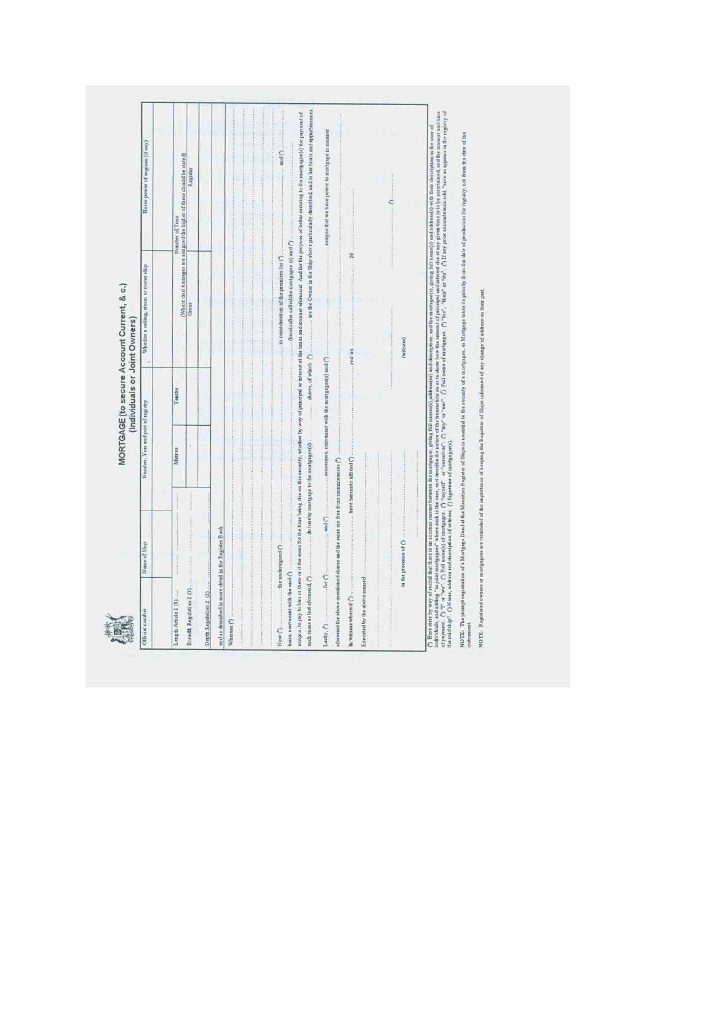| continuously are the Owner in the Ship above particularly described, and in her boats and appartenances<br>assigns, to pay to ham or it the must for the time being che on this security, whether by way of principal or interest at the times and manner afforesaid. And for the paypose of beiter metally to the most age (6) the payme<br>assigns that we have power to mortgage in manner<br>and (?)<br>Number of the comment of the set of the set of these should be stated)<br>Register<br>$\ddotsc$<br>(hereinafter called the mortgagee (a) and (*)<br>02<br>in consideration of the premises for $\binom{8}{2}$<br>Gross<br>$(w_{\text{times}})$<br>$\ldots$ and $\ldots$<br>shares, of which (*)<br>successors, convenant with the mortgagee(s) and (<br>Tenths<br>×.<br>Metres<br><br>have hereunto affixed (")<br>afforesaid the above-mentioned shares and the same are free from incumbrances (<br>and (*)<br>und as described in more detail in the Register Book<br>in the presence of ()<br><b>Beach</b><br>the understgned ()<br>such sums as last aforesaid. (?)<br>heirs, convenint with the said (1)<br>for C<br>Executed by the above-named<br>Depth Regulation 2 (2)<br>Breacht Regulation 2 (3)<br>In witness whereof (2)<br>Length Article 2 (8)<br>Whereas (*)<br>Lusty, ()<br>Now ( | () Net she by way of recial dut these is maxcoust current between the moralge gring full annotable and description, and description, full annotable and a color description in the case of<br>Individually as joint modigates" wh |  |  |
|-----------------------------------------------------------------------------------------------------------------------------------------------------------------------------------------------------------------------------------------------------------------------------------------------------------------------------------------------------------------------------------------------------------------------------------------------------------------------------------------------------------------------------------------------------------------------------------------------------------------------------------------------------------------------------------------------------------------------------------------------------------------------------------------------------------------------------------------------------------------------------------------------------------------------------------------------------------------------------------------------------------------------------------------------------------------------------------------------------------------------------------------------------------------------------------------------------------------------------------------------------------------------------------------------------------------|-----------------------------------------------------------------------------------------------------------------------------------------------------------------------------------------------------------------------------------|--|--|
|                                                                                                                                                                                                                                                                                                                                                                                                                                                                                                                                                                                                                                                                                                                                                                                                                                                                                                                                                                                                                                                                                                                                                                                                                                                                                                                 |                                                                                                                                                                                                                                   |  |  |
|                                                                                                                                                                                                                                                                                                                                                                                                                                                                                                                                                                                                                                                                                                                                                                                                                                                                                                                                                                                                                                                                                                                                                                                                                                                                                                                 |                                                                                                                                                                                                                                   |  |  |
|                                                                                                                                                                                                                                                                                                                                                                                                                                                                                                                                                                                                                                                                                                                                                                                                                                                                                                                                                                                                                                                                                                                                                                                                                                                                                                                 |                                                                                                                                                                                                                                   |  |  |
|                                                                                                                                                                                                                                                                                                                                                                                                                                                                                                                                                                                                                                                                                                                                                                                                                                                                                                                                                                                                                                                                                                                                                                                                                                                                                                                 |                                                                                                                                                                                                                                   |  |  |
|                                                                                                                                                                                                                                                                                                                                                                                                                                                                                                                                                                                                                                                                                                                                                                                                                                                                                                                                                                                                                                                                                                                                                                                                                                                                                                                 |                                                                                                                                                                                                                                   |  |  |
|                                                                                                                                                                                                                                                                                                                                                                                                                                                                                                                                                                                                                                                                                                                                                                                                                                                                                                                                                                                                                                                                                                                                                                                                                                                                                                                 |                                                                                                                                                                                                                                   |  |  |
|                                                                                                                                                                                                                                                                                                                                                                                                                                                                                                                                                                                                                                                                                                                                                                                                                                                                                                                                                                                                                                                                                                                                                                                                                                                                                                                 |                                                                                                                                                                                                                                   |  |  |
|                                                                                                                                                                                                                                                                                                                                                                                                                                                                                                                                                                                                                                                                                                                                                                                                                                                                                                                                                                                                                                                                                                                                                                                                                                                                                                                 |                                                                                                                                                                                                                                   |  |  |
|                                                                                                                                                                                                                                                                                                                                                                                                                                                                                                                                                                                                                                                                                                                                                                                                                                                                                                                                                                                                                                                                                                                                                                                                                                                                                                                 |                                                                                                                                                                                                                                   |  |  |
|                                                                                                                                                                                                                                                                                                                                                                                                                                                                                                                                                                                                                                                                                                                                                                                                                                                                                                                                                                                                                                                                                                                                                                                                                                                                                                                 |                                                                                                                                                                                                                                   |  |  |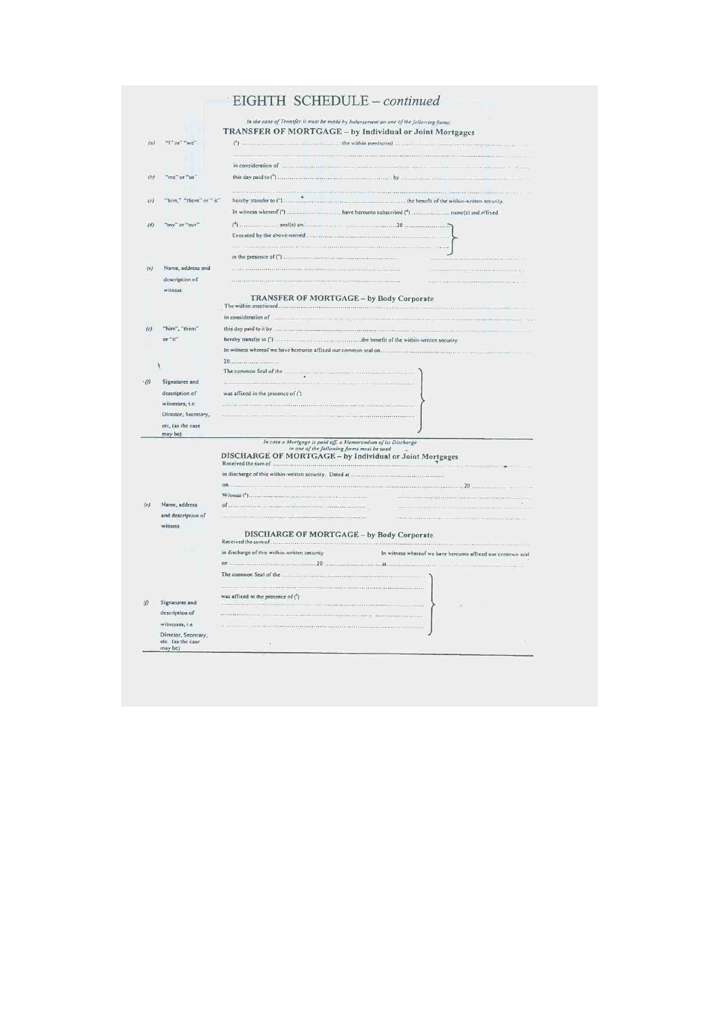| (b)      | "inc" or "us"                       |                                                                                                                               |
|----------|-------------------------------------|-------------------------------------------------------------------------------------------------------------------------------|
|          |                                     | A state of the state state and state and state several                                                                        |
| $\omega$ | "him," "them" or " it"              |                                                                                                                               |
| (d)      | "my" or "our"                       |                                                                                                                               |
|          |                                     |                                                                                                                               |
| (e)      | Name, address and<br>description of | in a communication in a communication of the service<br><b>Sales</b>                                                          |
|          | witness                             | TRANSFER OF MORTGAGE - by Body Corporate                                                                                      |
|          |                                     | in consideration of                                                                                                           |
| (c)      | "him", "them"                       |                                                                                                                               |
|          | or "it"                             | the benefit of the within-written security.<br>hereby transfer to (°)                                                         |
|          |                                     |                                                                                                                               |
|          |                                     |                                                                                                                               |
| (0)      | Signatures and                      |                                                                                                                               |
|          | description of                      | was affixed in the presence of (')                                                                                            |
|          | witnesses, i.e.                     | rana na manana mana ama na manana manana na m                                                                                 |
|          | Director, Secretary,                |                                                                                                                               |
|          | etc, (as the case                   |                                                                                                                               |
|          | may be)                             | In case a Mortgage is paid off. a Memorandum of its Discharge                                                                 |
|          |                                     | in one of the following forms must be used<br>DISCHARGE OF MORTGAGE - by Individual or Joint Mortgages<br>Received the sum of |
|          |                                     |                                                                                                                               |
|          |                                     |                                                                                                                               |
|          |                                     | $\sim$                                                                                                                        |
| (e)      | Name, address                       |                                                                                                                               |
|          | and description of<br>witness       |                                                                                                                               |
|          |                                     | DISCHARGE OF MORTGAGE - by Body Corporate                                                                                     |
|          |                                     | in discharge of this within-written security<br>In witness whereof we have hereunto affixed our common seal                   |
|          |                                     |                                                                                                                               |
|          |                                     |                                                                                                                               |
| m        | Signatures and                      | was affixed in the presence of $\binom{t}{l}$                                                                                 |
|          | description of                      |                                                                                                                               |
|          |                                     |                                                                                                                               |
|          | witnesses, <i>i.e.</i>              |                                                                                                                               |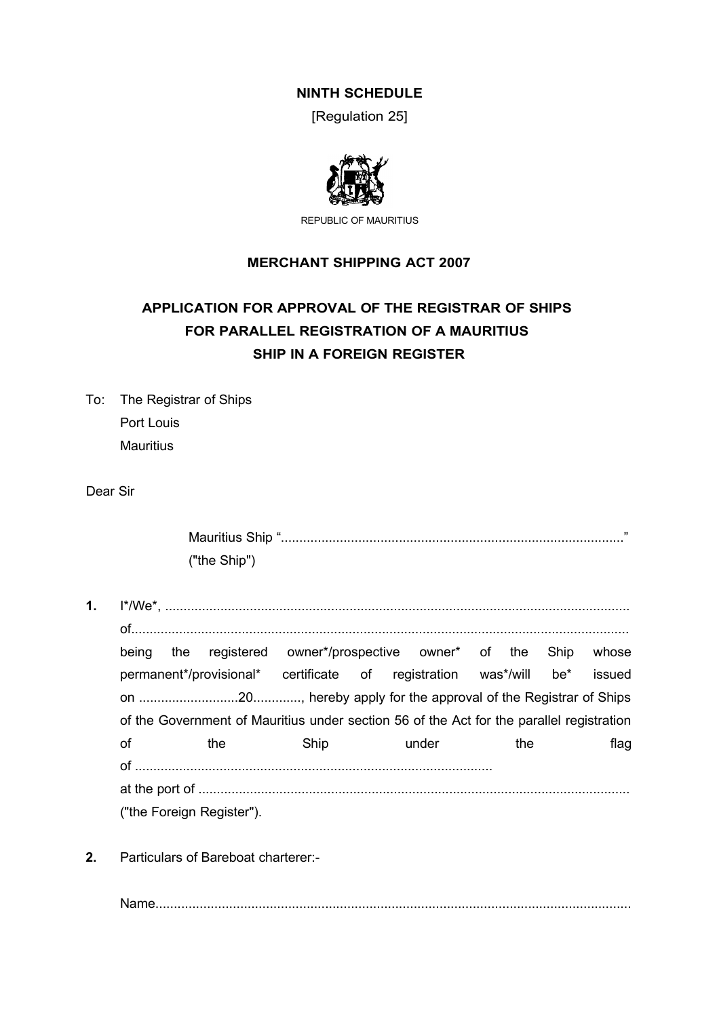# **NINTH SCHEDULE**

[Regulation 25]



REPUBLIC OF MAURITIUS

# **MERCHANT SHIPPING ACT 2007**

# **APPLICATION FOR APPROVAL OF THE REGISTRAR OF SHIPS FOR PARALLEL REGISTRATION OF A MAURITIUS SHIP IN A FOREIGN REGISTER**

To: The Registrar of Ships Port Louis Mauritius

Dear Sir

| Mauritius Ship ". | 11 |
|-------------------|----|
| ("the Ship")      |    |

- **1.** I\*/We\*, .............................................................................................................................. of....................................................................................................................................... being the registered owner\*/prospective owner\* of the Ship whose permanent\*/provisional\* certificate of registration was\*/will be\* issued on ...........................20............., hereby apply for the approval of the Registrar of Ships of the Government of Mauritius under section 56 of the Act for the parallel registration of the Ship under the flag of ................................................................................................. at the port of ..................................................................................................................... ("the Foreign Register").
- **2.** Particulars of Bareboat charterer:-

Name.................................................................................................................................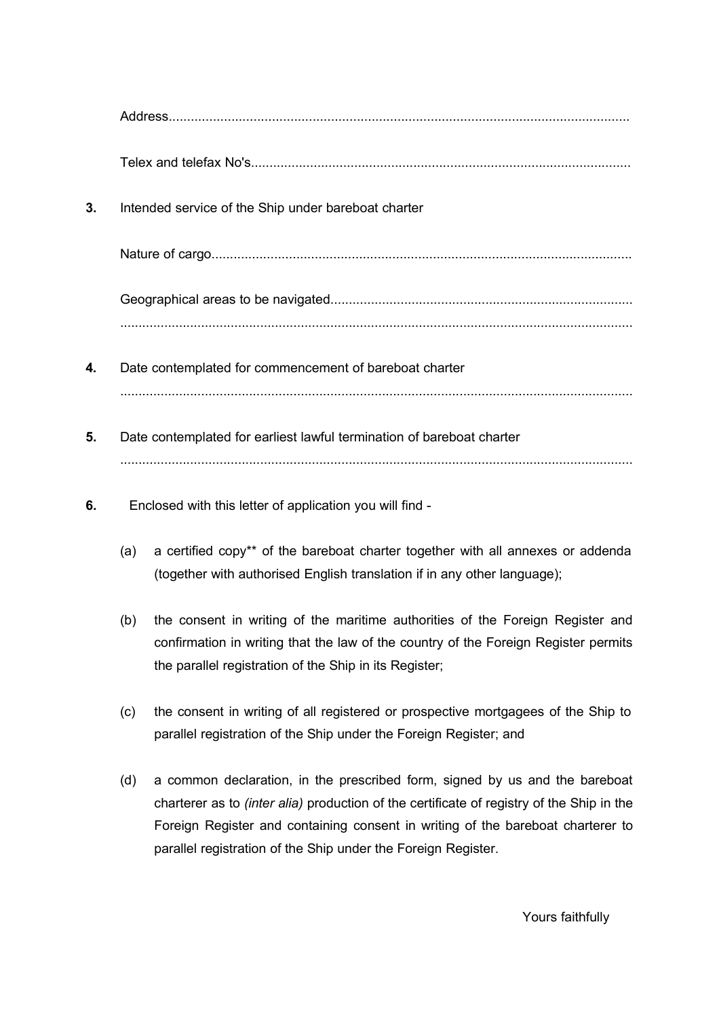| 3. | Intended service of the Ship under bareboat charter                   |                                                                                                                                                                                                                                 |  |  |
|----|-----------------------------------------------------------------------|---------------------------------------------------------------------------------------------------------------------------------------------------------------------------------------------------------------------------------|--|--|
|    |                                                                       |                                                                                                                                                                                                                                 |  |  |
|    |                                                                       |                                                                                                                                                                                                                                 |  |  |
| 4. |                                                                       | Date contemplated for commencement of bareboat charter                                                                                                                                                                          |  |  |
| 5. | Date contemplated for earliest lawful termination of bareboat charter |                                                                                                                                                                                                                                 |  |  |
| 6. | Enclosed with this letter of application you will find -              |                                                                                                                                                                                                                                 |  |  |
|    | (a)                                                                   | a certified copy** of the bareboat charter together with all annexes or addenda<br>(together with authorised English translation if in any other language);                                                                     |  |  |
|    | (b)                                                                   | the consent in writing of the maritime authorities of the Foreign Register and<br>confirmation in writing that the law of the country of the Foreign Register permits<br>the parallel registration of the Ship in its Register; |  |  |
|    | (c)                                                                   | the consent in writing of all registered or prospective mortgagees of the Ship to<br>parallel registration of the Ship under the Foreign Register; and                                                                          |  |  |
|    | (d)                                                                   | a common declaration, in the prescribed form, signed by us and the bareboat                                                                                                                                                     |  |  |

charterer as to *(inter alia)* production of the certificate of registry of the Ship in the Foreign Register and containing consent in writing of the bareboat charterer to parallel registration of the Ship under the Foreign Register.